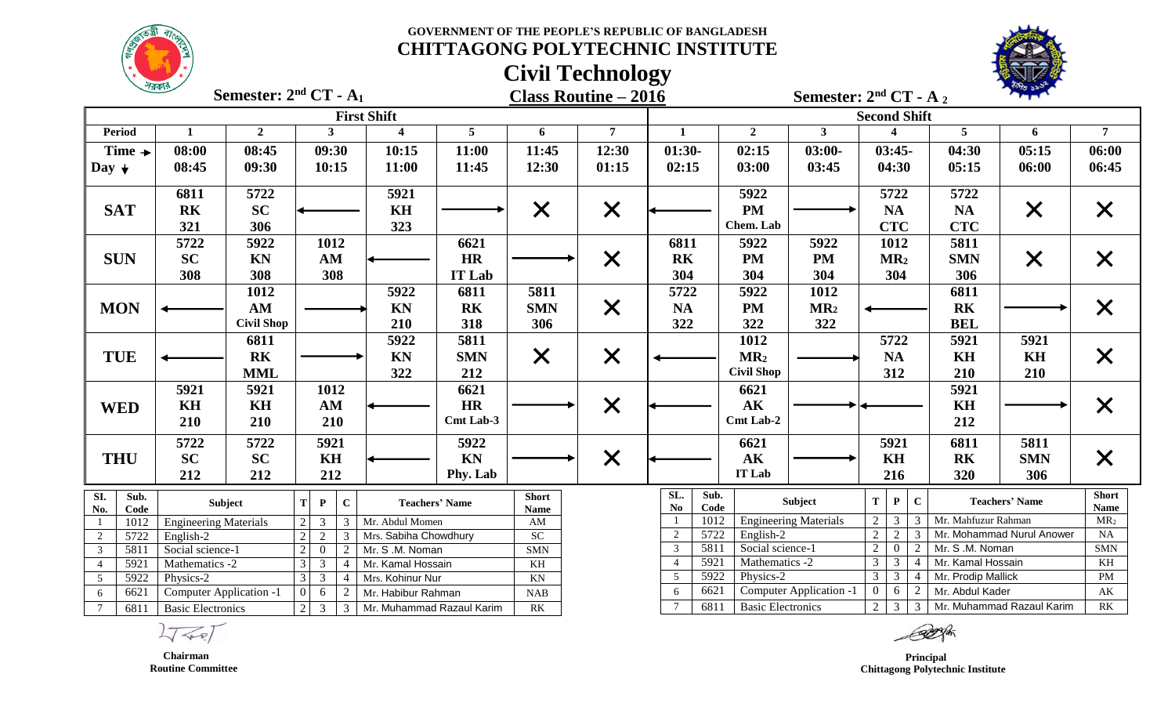



|                            | $\frac{1}{2}$                                                                                   | Semester: $2nd CT - A1$ |                                  |                        |                         |                       |                             | <b>Class Routine – 2016</b> |                                               |                   | Semester: $2nd CT - A_2$     |                     |                                  |                     |                           |                             |
|----------------------------|-------------------------------------------------------------------------------------------------|-------------------------|----------------------------------|------------------------|-------------------------|-----------------------|-----------------------------|-----------------------------|-----------------------------------------------|-------------------|------------------------------|---------------------|----------------------------------|---------------------|---------------------------|-----------------------------|
|                            |                                                                                                 |                         |                                  |                        | <b>First Shift</b>      |                       |                             |                             |                                               |                   |                              | <b>Second Shift</b> |                                  |                     |                           |                             |
| <b>Period</b>              | 1                                                                                               | $\overline{2}$          |                                  | $\mathbf{3}$           | $\overline{\mathbf{4}}$ | $\overline{5}$        | 6                           | $7^{\circ}$                 | $\mathbf{1}$                                  | $\overline{2}$    | 3 <sup>1</sup>               |                     | $\blacktriangle$                 | 5                   | 6                         | $\overline{7}$              |
| Time $\rightarrow$         | 08:00                                                                                           | 08:45                   |                                  | 09:30                  | 10:15                   | 11:00                 | 11:45                       | 12:30                       | $01:30-$                                      | 02:15             | $03:00-$                     |                     | $03:45-$                         | 04:30               | 05:15                     | 06:00                       |
| Day $\downarrow$           | 08:45                                                                                           | 09:30                   |                                  | 10:15                  | 11:00                   | 11:45                 | 12:30                       | 01:15                       | 02:15                                         | 03:00             | 03:45                        |                     | 04:30                            | 05:15               | 06:00                     | 06:45                       |
|                            | 6811                                                                                            | 5722                    |                                  |                        | 5921                    |                       |                             |                             |                                               | 5922              |                              |                     | 5722                             | 5722                |                           |                             |
| <b>SAT</b>                 | <b>RK</b>                                                                                       | <b>SC</b>               |                                  |                        | KH                      |                       | $\times$                    | $\times$                    |                                               | <b>PM</b>         |                              |                     | <b>NA</b>                        | <b>NA</b>           | $\times$                  | X                           |
|                            | 321                                                                                             | 306                     |                                  |                        | 323                     |                       |                             |                             |                                               | Chem. Lab         |                              |                     | <b>CTC</b>                       | <b>CTC</b>          |                           |                             |
|                            | 5722                                                                                            | 5922                    |                                  | 1012                   |                         | 6621                  |                             |                             | 6811                                          | 5922              | 5922                         |                     | 1012                             | 5811                |                           |                             |
| <b>SUN</b>                 | <b>SC</b>                                                                                       | <b>KN</b>               |                                  | AM                     |                         | <b>HR</b>             |                             | $\times$                    | <b>RK</b>                                     | <b>PM</b>         | <b>PM</b>                    |                     | MR <sub>2</sub>                  | <b>SMN</b>          | $\times$                  | $\bm{\mathsf{X}}$           |
|                            | 308                                                                                             | 308                     |                                  | 308                    |                         | <b>IT Lab</b>         |                             |                             | 304                                           | 304               | 304                          |                     | 304                              | 306                 |                           |                             |
|                            |                                                                                                 | 1012                    |                                  |                        | 5922                    | 6811                  | 5811                        |                             | 5722                                          | 5922              | 1012                         |                     |                                  | 6811                |                           |                             |
| <b>MON</b>                 |                                                                                                 | AM                      |                                  |                        | <b>KN</b>               | <b>RK</b>             | <b>SMN</b>                  | $\times$                    | <b>NA</b>                                     | <b>PM</b>         | MR <sub>2</sub>              |                     |                                  | <b>RK</b>           |                           | $\times$                    |
|                            |                                                                                                 | <b>Civil Shop</b>       |                                  |                        | 210                     | 318                   | 306                         |                             | 322                                           | 322               | 322                          |                     |                                  | <b>BEL</b>          |                           |                             |
|                            |                                                                                                 | 6811                    |                                  |                        | 5922                    | 5811                  |                             |                             |                                               | 1012              |                              |                     | 5722                             | 5921                | 5921                      |                             |
| <b>TUE</b>                 |                                                                                                 | R <sub>K</sub>          |                                  |                        | <b>KN</b>               | <b>SMN</b>            | $\times$                    | $\times$                    |                                               | MR <sub>2</sub>   |                              |                     | <b>NA</b>                        | <b>KH</b>           | KH                        | $\times$                    |
|                            |                                                                                                 | <b>MML</b>              |                                  |                        | 322                     | 212                   |                             |                             |                                               | <b>Civil Shop</b> |                              |                     | 312                              | 210                 | 210                       |                             |
|                            | 5921                                                                                            | 5921                    |                                  | 1012                   |                         | 6621                  |                             |                             |                                               | 6621              |                              |                     |                                  | 5921                |                           |                             |
| <b>WED</b>                 | KH                                                                                              | KH                      |                                  | $\mathbf{A}\mathbf{M}$ |                         | <b>HR</b>             |                             | $\times$                    |                                               | AK                |                              |                     |                                  | KH                  |                           | $\bm{\mathsf{X}}$           |
|                            | 210                                                                                             | 210                     |                                  | 210                    |                         | Cmt Lab-3             |                             |                             |                                               | Cmt Lab-2         |                              |                     |                                  | 212                 |                           |                             |
|                            | 5722                                                                                            | 5722                    |                                  | 5921                   |                         | 5922                  |                             |                             |                                               | 6621              |                              |                     | 5921                             | 6811                | 5811                      |                             |
| <b>THU</b>                 | <b>SC</b>                                                                                       | <b>SC</b>               |                                  | KH                     |                         | KN                    |                             | $\times$                    |                                               | $\mathbf{AK}$     |                              |                     | KH                               | <b>RK</b>           | <b>SMN</b>                | $\times$                    |
|                            | 212                                                                                             | 212                     |                                  | 212                    |                         | Phy. Lab              |                             |                             |                                               | IT Lab            |                              |                     | 216                              | 320                 | 306                       |                             |
| SI.<br>Sub.<br>Code<br>No. |                                                                                                 | Subject                 | T<br>$\mathbf{P}$                | $\mathbf C$            |                         | <b>Teachers' Name</b> | <b>Short</b><br><b>Name</b> |                             | SL.<br>Sub.<br>Code<br>$\mathbf{N}\mathbf{o}$ |                   | Subject                      | $\mathbf T$         | $\mathbf C$<br>$\mathbf{P}$      |                     | <b>Teachers' Name</b>     | <b>Short</b><br><b>Name</b> |
| 1012<br>-1                 | <b>Engineering Materials</b>                                                                    |                         | $\mathfrak{Z}$<br>2 <sup>1</sup> | 3                      | Mr. Abdul Momen         |                       | AM                          |                             | 1012                                          |                   | <b>Engineering Materials</b> | $\overline{2}$      | 3                                | Mr. Mahfuzur Rahman |                           | MR <sub>2</sub>             |
| 5722<br>2                  | English-2                                                                                       |                         | $\overline{2}$<br>$\overline{2}$ | 3                      | Mrs. Sabiha Chowdhury   |                       | ${\rm SC}$                  |                             | 5722<br>$\overline{2}$                        | English-2         |                              | $\overline{2}$      |                                  |                     | Mr. Mohammad Nurul Anower | NA                          |
| 5811<br>$\overline{3}$     | Social science-1                                                                                |                         | $\overline{2}$<br>$\overline{0}$ | 2                      | Mr. S .M. Noman         |                       | <b>SMN</b>                  |                             | 5811<br>$\mathfrak{Z}$                        | Social science-1  |                              | $\overline{2}$      | $\Omega$                         | Mr. S .M. Noman     |                           | <b>SMN</b>                  |
| 5921<br>$\overline{4}$     | Mathematics -2                                                                                  |                         | $\overline{3}$<br>$\overline{3}$ |                        | Mr. Kamal Hossain       |                       | $\mathbf{KH}$               |                             | 5921<br>$\overline{4}$                        | Mathematics -2    |                              | $\mathcal{E}$       | 3                                | Mr. Kamal Hossain   |                           | KH                          |
| $\overline{5}$<br>5922     | Physics-2                                                                                       |                         | 3 <sup>1</sup><br>3 <sup>7</sup> | $\overline{4}$         | Mrs. Kohinur Nur        |                       | KN                          |                             | 5922<br>5                                     | Physics-2         |                              | 3 <sup>1</sup>      | $\overline{3}$<br>$\overline{4}$ | Mr. Prodip Mallick  |                           | PM                          |
| 6621<br>6                  | Computer Application -1                                                                         |                         | $\overline{0}$<br>6              |                        | Mr. Habibur Rahman      |                       | <b>NAB</b>                  |                             | 6621<br>6                                     |                   | Computer Application -1      | $\overline{0}$      | 6<br>2                           | Mr. Abdul Kader     |                           | $\mathbf{A}\mathbf{K}$      |
| $\tau$                     | $2\vert$<br>$\overline{3}$<br>6811<br><b>Basic Electronics</b><br>3   Mr. Muhammad Razaul Karim |                         |                                  |                        | RK                      |                       | 6811<br>$\tau$              | <b>Basic Electronics</b>    |                                               | $\overline{2}$    | $\overline{\mathbf{3}}$      |                     | 3 Mr. Muhammad Razaul Karim      | RK                  |                           |                             |

FR

 **Principal Chittagong Polytechnic Institute**

 **Chairman Routine Committee**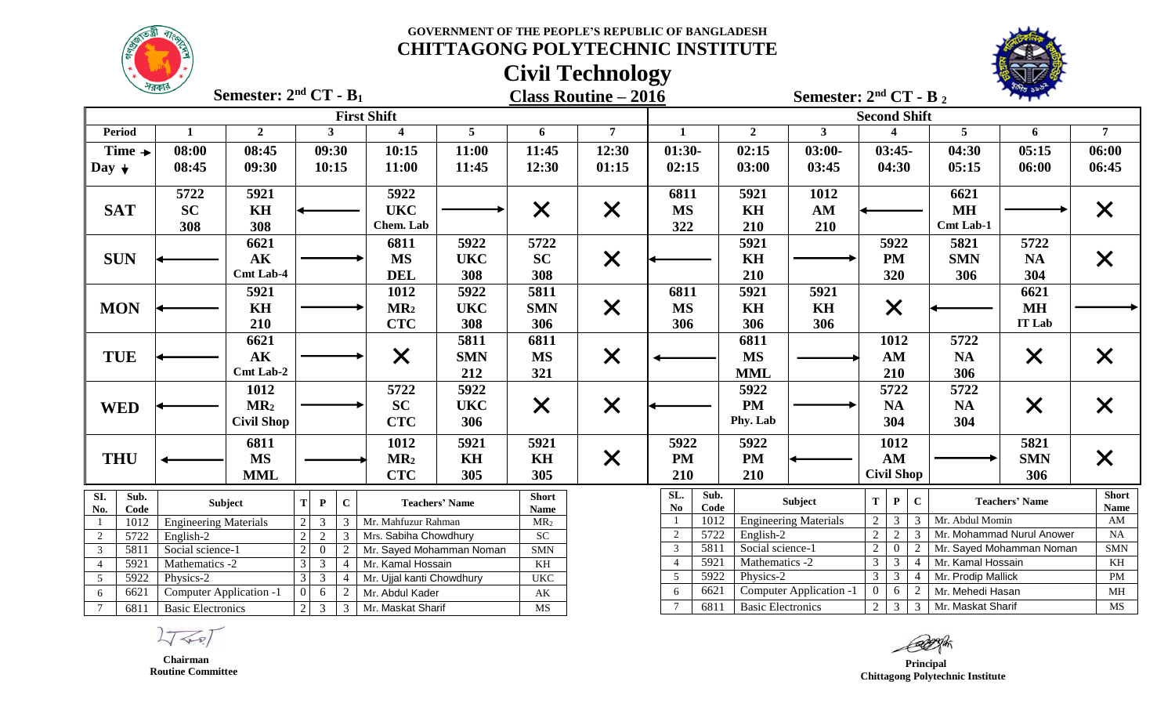



|                         |                    | $\frac{1}{2}$                  | Semester: $2nd CT - B1$ |                                                             |                                  |                           |                       |                                                  | <b>Class Routine - 2016</b> |                                      |                             |                              | Semester: $2nd CT - B2$                                                                |                                        |                           |                             |
|-------------------------|--------------------|--------------------------------|-------------------------|-------------------------------------------------------------|----------------------------------|---------------------------|-----------------------|--------------------------------------------------|-----------------------------|--------------------------------------|-----------------------------|------------------------------|----------------------------------------------------------------------------------------|----------------------------------------|---------------------------|-----------------------------|
|                         |                    |                                |                         |                                                             |                                  | <b>First Shift</b>        |                       |                                                  |                             |                                      |                             |                              | <b>Second Shift</b>                                                                    |                                        |                           |                             |
|                         | <b>Period</b>      | $\mathbf{1}$                   | $\overline{2}$          |                                                             | 3 <sup>1</sup>                   | $\overline{\mathbf{4}}$   | $5\phantom{.0}$       | 6                                                | $\overline{7}$              | 1                                    | $\overline{2}$              | $\mathbf{3}$                 | $\boldsymbol{\Lambda}$                                                                 | $\overline{5}$                         | 6                         | $\overline{7}$              |
|                         | Time $\rightarrow$ | 08:00                          | 08:45                   |                                                             | 09:30                            | 10:15                     | 11:00                 | 11:45                                            | 12:30                       | $01:30-$                             | 02:15                       | $03:00-$                     | $03:45-$                                                                               | 04:30                                  | 05:15                     | 06:00                       |
| Day $\downarrow$        |                    | 08:45                          | 09:30                   |                                                             | 10:15                            | 11:00                     | 11:45                 | 12:30                                            | 01:15                       | 02:15                                | 03:00                       | 03:45                        | 04:30                                                                                  | 05:15                                  | 06:00                     | 06:45                       |
|                         |                    | 5722                           | 5921                    |                                                             |                                  | 5922                      |                       |                                                  |                             | 6811                                 | 5921                        | 1012                         |                                                                                        | 6621                                   |                           |                             |
|                         | <b>SAT</b>         | <b>SC</b>                      | <b>KH</b>               |                                                             |                                  | <b>UKC</b>                |                       | $\times$                                         | $\times$                    | <b>MS</b>                            | KH                          | AM                           |                                                                                        | <b>MH</b>                              |                           | $\bm{\times}$               |
|                         |                    | 308                            | 308                     |                                                             |                                  | Chem. Lab                 |                       |                                                  |                             | 322                                  | 210                         | 210                          |                                                                                        | <b>Cmt Lab-1</b>                       |                           |                             |
|                         |                    |                                | 6621                    |                                                             |                                  | 6811                      | 5922                  | 5722                                             |                             |                                      | 5921                        |                              | 5922                                                                                   | 5821                                   | 5722                      |                             |
|                         | <b>SUN</b>         |                                | AK                      |                                                             |                                  | <b>MS</b>                 | <b>UKC</b>            | <b>SC</b>                                        | $\times$                    |                                      | KH                          |                              | <b>PM</b>                                                                              | <b>SMN</b>                             | <b>NA</b>                 | $\bm{\mathsf{X}}$           |
|                         |                    |                                | <b>Cmt Lab-4</b>        |                                                             |                                  | <b>DEL</b>                | 308                   | 308                                              |                             |                                      | 210                         |                              | 320                                                                                    | 306                                    | 304                       |                             |
|                         |                    |                                | 5921                    |                                                             |                                  | 1012                      | 5922                  | 5811                                             |                             | 6811                                 | 5921                        | 5921                         |                                                                                        |                                        | 6621                      |                             |
|                         | <b>MON</b>         |                                | KH                      |                                                             |                                  | MR <sub>2</sub>           | <b>UKC</b>            | <b>SMN</b>                                       | $\times$                    | <b>MS</b>                            | KH                          | KH                           | $\times$                                                                               |                                        | <b>MH</b>                 |                             |
|                         |                    |                                | 210                     |                                                             |                                  | <b>CTC</b>                | 308                   | 306                                              |                             | 306                                  | 306                         | 306                          |                                                                                        |                                        | <b>IT Lab</b>             |                             |
|                         |                    |                                | 6621                    |                                                             |                                  |                           | 5811                  | 6811                                             |                             |                                      | 6811                        |                              | 1012                                                                                   | 5722                                   |                           |                             |
|                         | <b>TUE</b>         |                                | $\mathbf{AK}$           |                                                             |                                  | $\times$                  | <b>SMN</b>            | <b>MS</b>                                        | $\times$                    |                                      | $\overline{\text{MS}}$      |                              | AM                                                                                     | NA                                     | $\times$                  | $\bm{\mathsf{X}}$           |
|                         |                    |                                | Cmt Lab-2               |                                                             |                                  |                           | 212                   | 321                                              |                             |                                      | <b>MML</b>                  |                              | 210                                                                                    | 306                                    |                           |                             |
|                         |                    |                                | 1012                    |                                                             |                                  | 5722                      | 5922                  |                                                  |                             |                                      | 5922                        |                              | 5722                                                                                   | 5722                                   |                           |                             |
|                         | <b>WED</b>         |                                | MR <sub>2</sub>         |                                                             |                                  | <b>SC</b>                 | <b>UKC</b>            | $\times$                                         | $\times$                    |                                      | <b>PM</b>                   |                              | NA                                                                                     | <b>NA</b>                              | $\times$                  | $\bm{\mathsf{X}}$           |
|                         |                    |                                | <b>Civil Shop</b>       |                                                             |                                  | <b>CTC</b>                | 306                   |                                                  |                             |                                      | Phy. Lab                    |                              | 304                                                                                    | 304                                    |                           |                             |
|                         |                    |                                |                         |                                                             |                                  |                           |                       |                                                  |                             |                                      |                             |                              |                                                                                        |                                        |                           |                             |
|                         |                    |                                | 6811<br><b>MS</b>       |                                                             |                                  | 1012                      | 5921                  | 5921                                             |                             | 5922                                 | 5922<br><b>PM</b>           |                              | 1012<br>AM                                                                             |                                        | 5821                      |                             |
|                         | <b>THU</b>         |                                |                         |                                                             |                                  | MR <sub>2</sub>           | KH                    | KH                                               | $\times$                    | <b>PM</b>                            |                             |                              |                                                                                        |                                        | <b>SMN</b>                | $\bm{\mathsf{X}}$           |
|                         |                    |                                | <b>MML</b>              |                                                             |                                  | <b>CTC</b>                | 305                   | 305                                              |                             | 210                                  | 210                         |                              | <b>Civil Shop</b>                                                                      |                                        | 306                       |                             |
| SI.<br>No.              | Sub.<br>Code       |                                | Subject                 | T<br>$\mathbf{P}$                                           | $\mathbf C$                      |                           | <b>Teachers' Name</b> | <b>Short</b><br>Name                             |                             | SL.<br>Sub.<br>$\mathbf{No}$<br>Code |                             | Subject                      | $\mathbf{C}$<br>T<br>${\bf P}$                                                         |                                        | <b>Teachers' Name</b>     | <b>Short</b><br><b>Name</b> |
|                         | 1012               | <b>Engineering Materials</b>   |                         | $\overline{2}$<br>$\overline{3}$                            | 3                                | Mr. Mahfuzur Rahman       |                       | MR <sub>2</sub>                                  |                             | 1012                                 |                             | <b>Engineering Materials</b> | 2 <sup>1</sup><br>$\overline{3}$<br>3                                                  | Mr. Abdul Momin                        |                           | $\mathbf{A}\mathbf{M}$      |
| 2                       | 5722               | English-2                      |                         | $\overline{2}$<br>$\overline{2}$                            | 3                                | Mrs. Sabiha Chowdhury     |                       | SC                                               |                             | 5722<br>$\overline{2}$               | English-2                   |                              | $\overline{2}$<br>$\overline{2}$<br>3                                                  |                                        | Mr. Mohammad Nurul Anower | NA                          |
| $\overline{\mathbf{3}}$ | 5811               | Social science-1               |                         | $\overline{2}$<br>$\overline{0}$                            | $\overline{2}$                   | Mr. Sayed Mohamman Noman  |                       | <b>SMN</b>                                       |                             | 5811<br>3                            | Social science-1            |                              | 2 <sup>1</sup><br>$\overline{0}$<br>2                                                  |                                        | Mr. Sayed Mohamman Noman  | $\mbox{SMN}$                |
| $\overline{4}$          | 5921               | Mathematics -2                 |                         | 3                                                           | $\overline{3}$<br>$\overline{4}$ | Mr. Kamal Hossain         |                       | KH                                               |                             | 5921<br>$\overline{4}$<br>5922       | Mathematics -2<br>Physics-2 |                              | 3 <sup>1</sup><br>$\overline{3}$<br>$\overline{4}$<br>$\overline{3}$<br>3 <sup>1</sup> | Mr. Kamal Hossain                      |                           | KH<br>$\mathbf{PM}$         |
| $5\phantom{.0}$         | 5922<br>6621       | Physics-2                      |                         | $\overline{\mathbf{3}}$<br>$\overline{3}$<br>$\overline{0}$ | $\overline{4}$                   | Mr. Ujjal kanti Chowdhury |                       | <b>UKC</b>                                       |                             | 5<br>6621<br>6                       |                             | Computer Application -1      | $\overline{4}$<br>6<br>$\overline{0}$<br>2                                             | Mr. Prodip Mallick<br>Mr. Mehedi Hasan |                           | $\mathbf{MH}$               |
| 6<br>$\overline{7}$     |                    | <b>Computer Application -1</b> |                         | 6<br>$\overline{3}$                                         | 2                                | Mr. Abdul Kader           |                       | $\mathbf{A}\mathbf{K}$<br>$\overline{\text{MS}}$ |                             | 6811<br>$\tau$                       | <b>Basic Electronics</b>    |                              |                                                                                        | 2 3 3 Mr. Maskat Sharif                |                           | MS                          |
|                         | 6811               | <b>Basic Electronics</b>       |                         | $\overline{2}$                                              | $\mathfrak{Z}$                   | Mr. Maskat Sharif         |                       |                                                  |                             |                                      |                             |                              |                                                                                        |                                        |                           |                             |

 $\sqrt{2}$ 

 **Chairman Routine Committee**

 **Principal Chittagong Polytechnic Institute**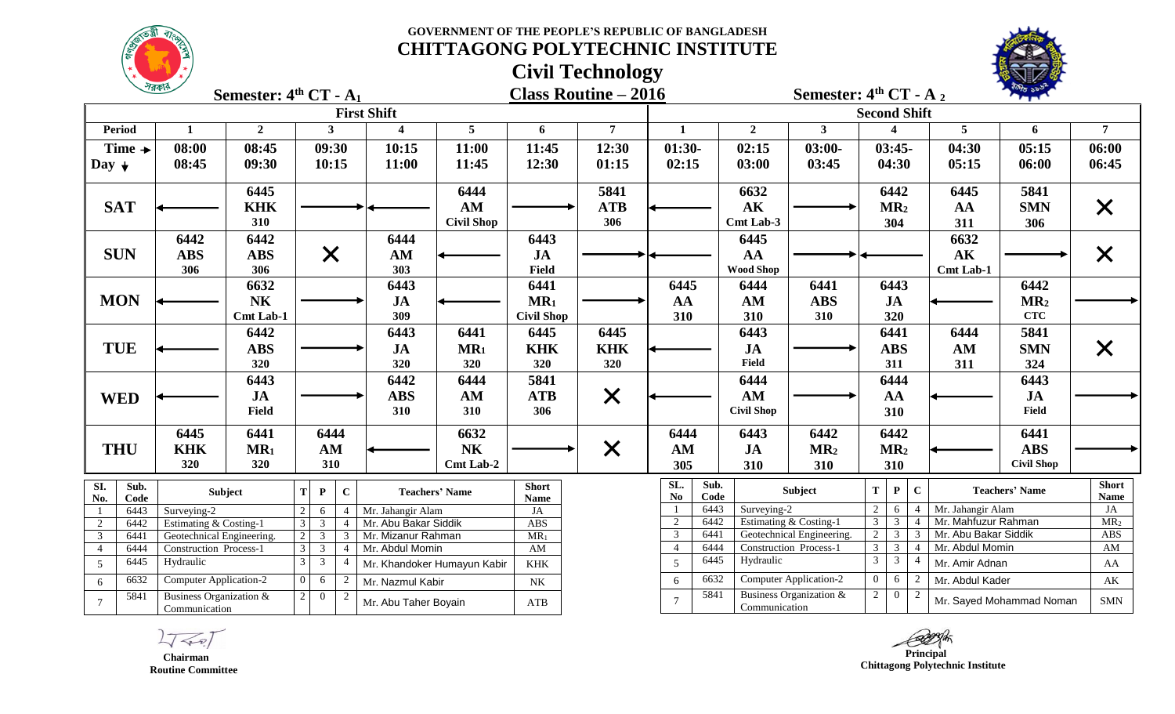**GOVERNMENT OF THE PEOPLE'S REPUBLIC OF BANGLADESH**



# **CHITTAGONG POLYTECHNIC INSTITUTE**

# **Civil Technology**



|                                | 7558                                       | Semester: $4th CT - A1$ |                                                                                        |                         |                             |                             | <b>Class Routine – 2016</b> |                                               |                   |                               | Semester: $4th CT - A_2$                                             |                        | <b>CARS PLANT</b>        |                             |
|--------------------------------|--------------------------------------------|-------------------------|----------------------------------------------------------------------------------------|-------------------------|-----------------------------|-----------------------------|-----------------------------|-----------------------------------------------|-------------------|-------------------------------|----------------------------------------------------------------------|------------------------|--------------------------|-----------------------------|
|                                |                                            |                         |                                                                                        | <b>First Shift</b>      |                             |                             |                             |                                               |                   |                               | <b>Second Shift</b>                                                  |                        |                          |                             |
| <b>Period</b>                  | $\mathbf 1$                                | $\overline{2}$          | $\mathbf{3}$                                                                           | $\overline{\mathbf{4}}$ | 5                           | 6                           | $\overline{7}$              | 1                                             | $\overline{2}$    | $\mathbf{3}$                  |                                                                      | $5\overline{)}$        | 6                        | $\overline{7}$              |
| Time $\rightarrow$             | 08:00                                      | 08:45                   | 09:30                                                                                  | 10:15                   | 11:00                       | 11:45                       | 12:30                       | $01:30-$                                      | 02:15             | $03:00-$                      | $03:45-$                                                             | 04:30                  | 05:15                    | 06:00                       |
| Day $\downarrow$               | 08:45                                      | 09:30                   | 10:15                                                                                  | 11:00                   | 11:45                       | 12:30                       | 01:15                       | 02:15                                         | 03:00             | 03:45                         | 04:30                                                                | 05:15                  | 06:00                    | 06:45                       |
|                                |                                            | 6445                    |                                                                                        |                         | 6444                        |                             | 5841                        |                                               | 6632              |                               | 6442                                                                 | 6445                   | 5841                     |                             |
| <b>SAT</b>                     |                                            | <b>KHK</b>              |                                                                                        |                         | AM                          |                             | <b>ATB</b>                  |                                               | AK                |                               | MR <sub>2</sub>                                                      | AA                     | <b>SMN</b>               | $\times$                    |
|                                |                                            | 310                     |                                                                                        |                         | <b>Civil Shop</b>           |                             | 306                         |                                               | Cmt Lab-3         |                               | 304                                                                  | 311                    | 306                      |                             |
|                                | 6442                                       | 6442                    |                                                                                        | 6444                    |                             | 6443                        |                             |                                               | 6445              |                               |                                                                      | 6632                   |                          |                             |
| <b>SUN</b>                     | <b>ABS</b>                                 | <b>ABS</b>              | X                                                                                      | AM                      |                             | JA                          |                             |                                               | AA                |                               |                                                                      | $\mathbf{A}\mathbf{K}$ |                          | $\bm{\mathsf{X}}$           |
|                                | 306                                        | 306                     |                                                                                        | 303                     |                             | Field                       |                             |                                               | <b>Wood Shop</b>  |                               |                                                                      | <b>Cmt Lab-1</b>       |                          |                             |
|                                |                                            | 6632                    |                                                                                        | 6443                    |                             | 6441                        |                             | 6445                                          | 6444              | 6441                          | 6443                                                                 |                        | 6442                     |                             |
| <b>MON</b>                     |                                            | <b>NK</b>               |                                                                                        | JA                      |                             | MR <sub>1</sub>             |                             | AA                                            | AM                | <b>ABS</b>                    | JA                                                                   |                        | MR <sub>2</sub>          |                             |
|                                |                                            | <b>Cmt Lab-1</b>        |                                                                                        | 309                     |                             | <b>Civil Shop</b>           |                             | 310                                           | 310               | 310                           | 320                                                                  |                        | <b>CTC</b>               |                             |
|                                |                                            | 6442                    |                                                                                        | 6443                    | 6441                        | 6445                        | 6445                        |                                               | 6443              |                               | 6441                                                                 | 6444                   | 5841                     |                             |
| <b>TUE</b>                     |                                            | <b>ABS</b>              |                                                                                        | JA                      | $MR_1$                      | <b>KHK</b>                  | <b>KHK</b>                  |                                               | <b>JA</b>         |                               | <b>ABS</b>                                                           | AM                     | <b>SMN</b>               | $\bm{\mathsf{X}}$           |
|                                |                                            | 320                     |                                                                                        | 320                     | 320                         | 320                         | 320                         |                                               | Field             |                               | 311                                                                  | 311                    | 324                      |                             |
|                                |                                            | 6443                    |                                                                                        | 6442                    | 6444                        | 5841                        |                             |                                               | 6444              |                               | 6444                                                                 |                        | 6443                     |                             |
| <b>WED</b>                     |                                            | JA                      |                                                                                        | <b>ABS</b>              | AM                          | <b>ATB</b>                  | $\times$                    |                                               | AM                |                               | AA                                                                   |                        | <b>JA</b>                |                             |
|                                |                                            | Field                   |                                                                                        | 310                     | 310                         | 306                         |                             |                                               | <b>Civil Shop</b> |                               | 310                                                                  |                        | Field                    |                             |
|                                | 6445                                       | 6441                    | 6444                                                                                   |                         | 6632                        |                             |                             | 6444                                          | 6443              | 6442                          | 6442                                                                 |                        | 6441                     |                             |
| <b>THU</b>                     | <b>KHK</b>                                 | MR <sub>1</sub>         | AM                                                                                     |                         | <b>NK</b>                   |                             | $\times$                    | AM                                            | JA                | MR <sub>2</sub>               | MR <sub>2</sub>                                                      |                        | <b>ABS</b>               |                             |
|                                | 320                                        | 320                     | 310                                                                                    |                         | Cmt Lab-2                   |                             |                             | 305                                           | 310               | 310                           | 310                                                                  |                        | <b>Civil Shop</b>        |                             |
| SI.<br>Sub.<br>No.<br>Code     |                                            | <b>Subject</b>          | $\mathbf C$<br>T<br>$\mathbf{P}$                                                       |                         | <b>Teachers' Name</b>       | <b>Short</b><br><b>Name</b> |                             | SL.<br>Sub.<br>$\mathbf{N}\mathbf{o}$<br>Code |                   | <b>Subject</b>                | $\mathbf{C}$<br>T<br>$\mathbf{P}$                                    |                        | <b>Teachers' Name</b>    | <b>Short</b><br><b>Name</b> |
| 6443                           | Surveying-2                                |                         | $\overline{2}$<br>6                                                                    | Mr. Jahangir Alam       |                             | JA                          |                             | 6443<br>-1                                    | Surveying-2       |                               | 2<br>6                                                               | Mr. Jahangir Alam      |                          | JA                          |
| 6442<br>2                      | Estimating & Costing-1                     |                         | $\mathfrak{Z}$<br>3                                                                    | Mr. Abu Bakar Siddik    |                             | <b>ABS</b>                  |                             | 2<br>6442                                     |                   | Estimating & Costing-1        | $\mathfrak{Z}$<br>$\mathfrak{Z}$                                     | Mr. Mahfuzur Rahman    |                          | MR <sub>2</sub>             |
| 3<br>6441                      | Geotechnical Engineering.                  |                         | $\mathfrak{Z}$<br>$\overline{2}$<br>3                                                  | Mr. Mizanur Rahman      |                             | $MR_1$                      |                             | $\overline{3}$<br>6441                        |                   | Geotechnical Engineering.     | $2 \mid 3$<br>$\overline{3}$                                         | Mr. Abu Bakar Siddik   |                          | ABS                         |
| 6444<br>$\overline{4}$<br>6445 | <b>Construction Process-1</b><br>Hydraulic |                         | $\overline{3}$<br>$\overline{3}$<br>$\overline{4}$<br>$\overline{3}$<br>$\overline{3}$ | Mr. Abdul Momin         |                             | AM                          |                             | $\overline{4}$<br>6444<br>6445                | Hydraulic         | <b>Construction Process-1</b> | $\overline{3}$<br>$\overline{3}$<br>$\mathfrak{Z}$<br>$\mathfrak{Z}$ | Mr. Abdul Momin        |                          | $\mathbf{A}\mathbf{M}$      |
| 5                              |                                            |                         |                                                                                        |                         | Mr. Khandoker Humayun Kabir | <b>KHK</b>                  |                             | $\overline{5}$                                |                   |                               |                                                                      | Mr. Amir Adnan         |                          | AA                          |
| 6632<br>6                      | Computer Application-2                     |                         | $\overline{0}$<br>6<br>2                                                               | Mr. Nazmul Kabir        |                             | NK                          |                             | 6632<br>6                                     |                   | <b>Computer Application-2</b> | $\overline{0}$<br>6                                                  | Mr. Abdul Kader        |                          | AK                          |
| 5841<br>$\tau$                 | Business Organization &<br>Communication   |                         | $\overline{2}$<br>$\overline{0}$<br>2                                                  | Mr. Abu Taher Boyain    |                             | ATB                         |                             | 5841<br>$\overline{7}$                        | Communication     | Business Organization &       | 2<br>$\overline{0}$                                                  |                        | Mr. Sayed Mohammad Noman | <b>SMN</b>                  |

 $L\sqrt{2}$ 

 **Chairman Routine Committee**

 **Principal** 

 **Chittagong Polytechnic Institute**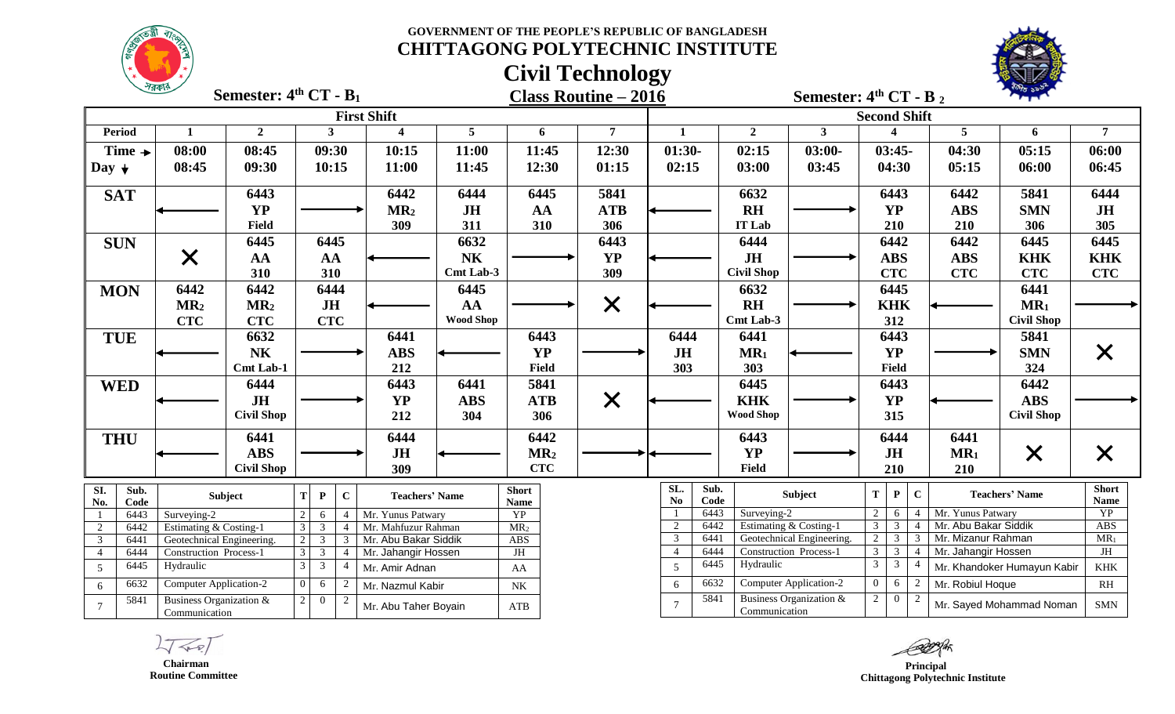**Civil Technology**



|                                | $\frac{1}{2}$                            | Semester: $4th CT - B1$ |                       |                                                    |                          |                  |                             | <b>Class Routine - 2016</b> |                                  |                     | Semester: $4th CT - B_2$                            |                                  |                                |               |                                           |                             |                      |
|--------------------------------|------------------------------------------|-------------------------|-----------------------|----------------------------------------------------|--------------------------|------------------|-----------------------------|-----------------------------|----------------------------------|---------------------|-----------------------------------------------------|----------------------------------|--------------------------------|---------------|-------------------------------------------|-----------------------------|----------------------|
|                                |                                          |                         |                       |                                                    | <b>First Shift</b>       |                  |                             |                             |                                  |                     |                                                     | <b>Second Shift</b>              |                                |               |                                           |                             |                      |
| <b>Period</b>                  | 1                                        | $\mathbf{2}$            |                       | 3                                                  | $\boldsymbol{\varDelta}$ | 5 <sup>5</sup>   | 6                           | $\overline{7}$              | $\mathbf 1$                      | $\overline{2}$      | $\mathbf{3}$                                        |                                  | $\boldsymbol{\Lambda}$         |               | 5                                         | 6                           | $\overline{7}$       |
| Time $\rightarrow$             | 08:00                                    | 08:45                   |                       | 09:30                                              | 10:15                    | 11:00            | 11:45                       | 12:30                       | $01:30-$                         | 02:15               | $03:00-$                                            |                                  | $03:45-$                       |               | 04:30                                     | 05:15                       | 06:00                |
| Day $\downarrow$               | 08:45                                    | 09:30                   |                       | 10:15                                              | 11:00                    | 11:45            | 12:30                       | 01:15                       | 02:15                            | 03:00               | 03:45                                               |                                  | 04:30                          |               | 05:15                                     | 06:00                       | 06:45                |
| <b>SAT</b>                     |                                          | 6443                    |                       |                                                    | 6442                     | 6444             | 6445                        | 5841                        |                                  | 6632                |                                                     |                                  | 6443                           |               | 6442                                      | 5841                        | 6444                 |
|                                |                                          | <b>YP</b>               |                       |                                                    | MR <sub>2</sub>          | <b>JH</b>        | AA                          | <b>ATB</b>                  |                                  | <b>RH</b>           |                                                     |                                  | <b>YP</b>                      |               | <b>ABS</b>                                | <b>SMN</b>                  | JH                   |
|                                |                                          | <b>Field</b>            |                       |                                                    | 309                      | 311              | 310                         | 306                         |                                  | <b>IT Lab</b>       |                                                     |                                  | 210                            |               | 210                                       | 306                         | 305                  |
| <b>SUN</b>                     |                                          | 6445                    |                       | 6445                                               |                          | 6632             |                             | 6443                        |                                  | 6444                |                                                     |                                  | 6442                           |               | 6442                                      | 6445                        | 6445                 |
|                                | $\times$                                 | AA                      |                       | AA                                                 |                          | N <sub>K</sub>   |                             | <b>YP</b>                   |                                  | $J\mathbf{H}$       |                                                     |                                  | <b>ABS</b>                     |               | <b>ABS</b>                                | <b>KHK</b>                  | <b>KHK</b>           |
|                                |                                          | 310                     |                       | 310                                                |                          | Cmt Lab-3        |                             | 309                         |                                  | <b>Civil Shop</b>   |                                                     |                                  | <b>CTC</b>                     |               | <b>CTC</b>                                | <b>CTC</b>                  | <b>CTC</b>           |
| <b>MON</b>                     | 6442                                     | 6442                    |                       | 6444                                               |                          | 6445             |                             |                             |                                  | 6632                |                                                     |                                  | 6445                           |               |                                           | 6441                        |                      |
|                                | MR <sub>2</sub>                          | MR <sub>2</sub>         |                       | JH                                                 |                          | AA               |                             | $\times$                    |                                  | $R$ H               |                                                     |                                  | <b>KHK</b>                     |               |                                           | $MR_1$                      |                      |
|                                | CTC                                      | <b>CTC</b>              |                       | <b>CTC</b>                                         |                          | <b>Wood Shop</b> |                             |                             |                                  | Cmt Lab-3           |                                                     |                                  | 312                            |               |                                           | <b>Civil Shop</b>           |                      |
| <b>TUE</b>                     |                                          | 6632                    |                       |                                                    | 6441                     |                  | 6443                        |                             | 6444                             | 6441                |                                                     |                                  | 6443                           |               |                                           | 5841                        |                      |
|                                |                                          | <b>NK</b>               |                       |                                                    | <b>ABS</b>               |                  | <b>YP</b>                   |                             | JH                               | $MR_1$              |                                                     |                                  | <b>YP</b>                      |               |                                           | <b>SMN</b>                  | X                    |
|                                |                                          | <b>Cmt Lab-1</b>        |                       |                                                    | 212                      |                  | <b>Field</b>                |                             | 303                              | 303                 |                                                     |                                  | <b>Field</b>                   |               |                                           | 324                         |                      |
| <b>WED</b>                     |                                          | 6444                    |                       |                                                    | 6443                     | 6441             | 5841                        |                             |                                  | 6445                |                                                     |                                  | 6443                           |               |                                           | 6442                        |                      |
|                                |                                          | JH                      |                       |                                                    | <b>YP</b>                | <b>ABS</b>       | <b>ATB</b>                  | $\times$                    |                                  | <b>KHK</b>          |                                                     |                                  | <b>YP</b>                      |               |                                           | <b>ABS</b>                  |                      |
|                                |                                          | <b>Civil Shop</b>       |                       |                                                    | 212                      | 304              | 306                         |                             |                                  | <b>Wood Shop</b>    |                                                     |                                  | 315                            |               |                                           | <b>Civil Shop</b>           |                      |
| <b>THU</b>                     |                                          | 6441                    |                       |                                                    | 6444                     |                  | 6442                        |                             |                                  | 6443                |                                                     |                                  | 6444                           |               | 6441                                      |                             |                      |
|                                |                                          | <b>ABS</b>              |                       |                                                    | JH                       |                  | MR <sub>2</sub>             |                             |                                  | <b>YP</b>           |                                                     |                                  | JH                             |               | MR <sub>1</sub>                           | $\times$                    | $\bm{\mathsf{X}}$    |
|                                |                                          | <b>Civil Shop</b>       |                       |                                                    | 309                      |                  | <b>CTC</b>                  |                             |                                  | Field               |                                                     |                                  | 210                            |               | 210                                       |                             |                      |
| SI.<br>Sub.<br>No.<br>Code     |                                          | Subject                 | <b>T</b><br>${\bf P}$ | $\mathbf{C}$                                       | <b>Teachers' Name</b>    |                  | <b>Short</b><br><b>Name</b> |                             | SL.<br>N <sub>0</sub>            | Sub.<br>Code        | Subject                                             | T.                               | $\mathbf{P}$                   | $\mathbf C$   |                                           | <b>Teachers' Name</b>       | <b>Short</b><br>Name |
| 6443                           | Surveying-2                              |                         | 6                     |                                                    | Mr. Yunus Patwary        |                  | <b>YP</b>                   |                             |                                  | 6443<br>Surveying-2 |                                                     | 2                                | -6                             |               | Mr. Yunus Patwary                         |                             | YP                   |
| 6442<br>2                      | Estimating & Costing-1                   |                         | 3                     | $\mathfrak{Z}$<br>4                                | Mr. Mahfuzur Rahman      |                  | MR <sub>2</sub>             |                             | $\sqrt{2}$                       | 6442                | Estimating & Costing-1                              | 3 <sup>1</sup>                   | $\mathbf{3}$                   |               | Mr. Abu Bakar Siddik                      |                             | ABS                  |
| $\overline{3}$<br>6441         | Geotechnical Engineering.                |                         | $\overline{3}$        | 3                                                  | Mr. Abu Bakar Siddik     |                  | <b>ABS</b>                  |                             | $\mathfrak{Z}$<br>$\overline{4}$ | 6441<br>6444        | Geotechnical Engineering.<br>Construction Process-1 | $\overline{2}$<br>$\overline{3}$ | $\overline{3}$<br>$\mathbf{3}$ | $\mathcal{R}$ | Mr. Mizanur Rahman<br>Mr. Jahangir Hossen |                             | $MR_1$<br>JH         |
| 6444<br>$\overline{4}$<br>6445 | Construction Process-1<br>Hydraulic      |                         | $\overline{3}$<br>3   | $\overline{3}$<br>$\overline{4}$<br>$\mathfrak{Z}$ | Mr. Jahangir Hossen      |                  | JH                          |                             | 5                                | 6445<br>Hydraulic   |                                                     | $\mathbf{3}$                     | $\mathbf{3}$                   |               |                                           | Mr. Khandoker Humayun Kabir | <b>KHK</b>           |
| 5                              |                                          |                         |                       |                                                    | Mr. Amir Adnan           |                  | AA                          |                             |                                  | 6632                | <b>Computer Application-2</b>                       | $\overline{0}$                   |                                |               |                                           |                             |                      |
| 6632<br>6                      | <b>Computer Application-2</b>            |                         |                       | 6                                                  | Mr. Nazmul Kabir         |                  | $\rm N K$                   |                             | 6                                | 5841                | Business Organization &                             |                                  | 6                              |               | Mr. Robiul Hoque                          |                             | RH                   |
| 5841<br>$\overline{7}$         | Business Organization &<br>Communication |                         | $\overline{0}$        | $\overline{2}$                                     | Mr. Abu Taher Boyain     |                  | ATB                         |                             | $\overline{7}$                   | Communication       |                                                     | $\overline{2}$                   | $\theta$                       |               |                                           | Mr. Sayed Mohammad Noman    | <b>SMN</b>           |

*Principal*  **Chittagong Polytechnic Institute**

 $277/$ 

 **Chairman Routine Committee**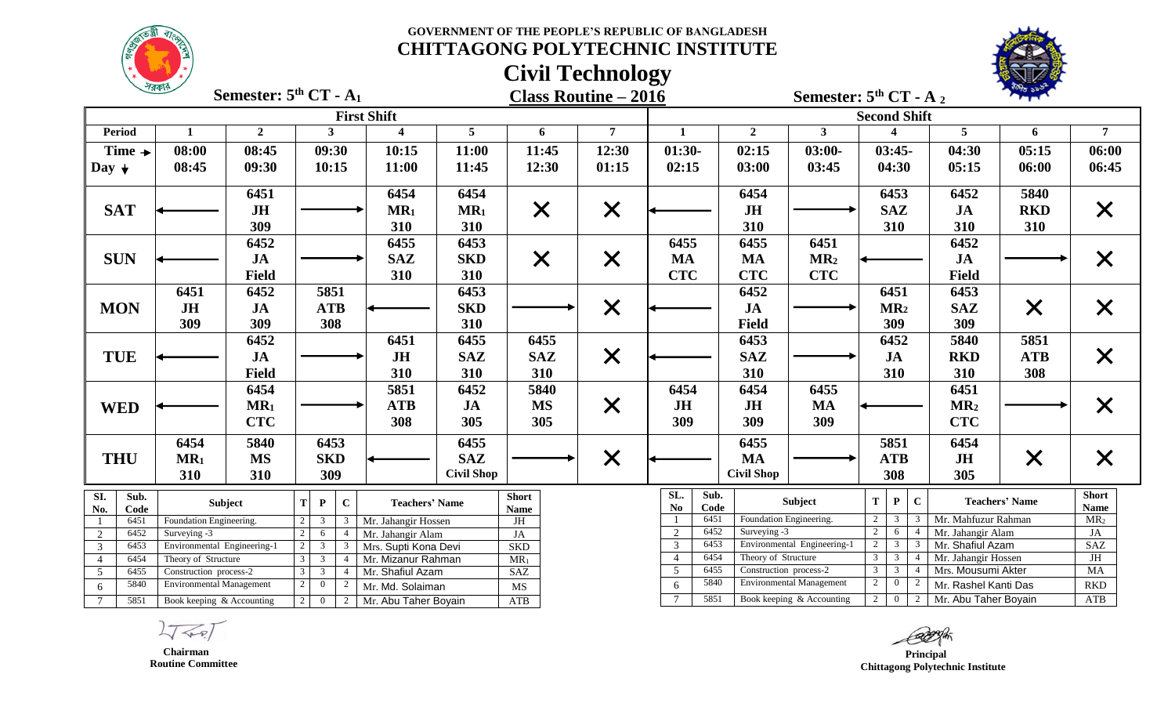



|                                                                                                                    | $\sqrt{N}$                                                                                               | Semester: $5th CT - A1$ |              |                |              |                         |                        |                           | <b>Class Routine - 2016</b>           |                                  |                         |                             | Semester: $5th CT - A_2$                 |                     |                       |                                |
|--------------------------------------------------------------------------------------------------------------------|----------------------------------------------------------------------------------------------------------|-------------------------|--------------|----------------|--------------|-------------------------|------------------------|---------------------------|---------------------------------------|----------------------------------|-------------------------|-----------------------------|------------------------------------------|---------------------|-----------------------|--------------------------------|
|                                                                                                                    |                                                                                                          |                         |              |                |              | <b>First Shift</b>      |                        |                           |                                       |                                  |                         |                             | <b>Second Shift</b>                      |                     |                       |                                |
| <b>Period</b>                                                                                                      | 1                                                                                                        | $\overline{2}$          |              | $\mathbf{3}$   |              | $\overline{\mathbf{4}}$ | 5                      | 6                         | $\overline{7}$                        | $\mathbf{1}$                     | $\overline{2}$          | 3 <sup>1</sup>              | $\overline{\mathbf{4}}$                  | $\overline{5}$      | 6                     | 7                              |
| Time $\rightarrow$                                                                                                 | 08:00                                                                                                    | 08:45                   |              | 09:30          |              | 10:15                   | 11:00                  | 11:45                     | 12:30                                 | $01:30-$                         | 02:15                   | $03:00-$                    | $03:45-$                                 | 04:30               | 05:15                 | 06:00                          |
| Day $\downarrow$                                                                                                   | 08:45                                                                                                    | 09:30                   |              | 10:15          |              | 11:00                   | 11:45                  | 12:30                     | 01:15                                 | 02:15                            | 03:00                   | 03:45                       | 04:30                                    | 05:15               | 06:00                 | 06:45                          |
|                                                                                                                    |                                                                                                          | 6451                    |              |                |              | 6454                    | 6454                   |                           |                                       |                                  | 6454                    |                             | 6453                                     | 6452                | 5840                  |                                |
| <b>SAT</b>                                                                                                         |                                                                                                          | JH                      |              |                |              | $MR_1$                  | MR <sub>1</sub>        | $\times$                  | $\times$                              |                                  | JH                      |                             | <b>SAZ</b>                               | JA                  | <b>RKD</b>            | $\times$                       |
|                                                                                                                    |                                                                                                          | 309                     |              |                |              | 310                     | 310                    |                           |                                       |                                  | 310                     |                             | 310                                      | 310                 | 310                   |                                |
|                                                                                                                    |                                                                                                          | 6452                    |              |                |              | 6455                    | 6453                   |                           |                                       | 6455                             | 6455                    | 6451                        |                                          | 6452                |                       |                                |
| <b>SUN</b>                                                                                                         |                                                                                                          | <b>JA</b>               |              |                |              | <b>SAZ</b>              | <b>SKD</b>             | $\times$                  | $\times$                              | <b>MA</b>                        | <b>MA</b>               | MR <sub>2</sub>             |                                          | JA                  |                       | $\bm{\mathsf{X}}$              |
|                                                                                                                    |                                                                                                          | <b>Field</b>            |              |                |              | 310                     | 310                    |                           |                                       | <b>CTC</b>                       | <b>CTC</b>              | <b>CTC</b>                  |                                          | <b>Field</b>        |                       |                                |
|                                                                                                                    | 6451                                                                                                     | 6452                    |              | 5851           |              |                         | 6453                   |                           |                                       |                                  | 6452                    |                             | 6451                                     | 6453                |                       |                                |
| <b>MON</b>                                                                                                         | JH                                                                                                       | <b>JA</b>               |              | <b>ATB</b>     |              |                         | <b>SKD</b>             |                           | $\times$                              |                                  | <b>JA</b>               |                             | MR <sub>2</sub>                          | <b>SAZ</b>          | $\times$              | $\bm{\mathsf{X}}$              |
|                                                                                                                    | 309                                                                                                      | 309                     |              | 308            |              |                         | 310                    |                           |                                       |                                  | <b>Field</b>            |                             | 309                                      | 309                 |                       |                                |
|                                                                                                                    |                                                                                                          | 6452                    |              |                |              | 6451                    | 6455                   | 6455                      |                                       |                                  | 6453                    |                             | 6452                                     | 5840                | 5851                  |                                |
| <b>TUE</b>                                                                                                         |                                                                                                          | <b>JA</b>               |              |                |              | JH                      | <b>SAZ</b>             | <b>SAZ</b>                |                                       |                                  | <b>SAZ</b>              |                             | JA                                       | <b>RKD</b>          | <b>ATB</b>            |                                |
|                                                                                                                    |                                                                                                          | <b>Field</b>            |              |                |              | 310                     | 310                    | 310                       | $\times$                              |                                  | 310                     |                             | 310                                      | 310                 | 308                   | $\times$                       |
|                                                                                                                    |                                                                                                          |                         |              |                |              |                         |                        |                           |                                       |                                  |                         |                             |                                          |                     |                       |                                |
|                                                                                                                    |                                                                                                          | 6454                    |              |                |              | 5851                    | 6452                   | 5840                      |                                       | 6454                             | 6454                    | 6455                        |                                          | 6451                |                       |                                |
| <b>WED</b>                                                                                                         |                                                                                                          | MR <sub>1</sub>         |              |                |              | <b>ATB</b>              | $J\mathbf{A}$          | <b>MS</b>                 | $\times$                              | JH                               | JH                      | <b>MA</b>                   |                                          | MR <sub>2</sub>     |                       | $\times$                       |
|                                                                                                                    |                                                                                                          | <b>CTC</b>              |              |                |              | 308                     | 305                    | 305                       |                                       | 309                              | 309                     | 309                         |                                          | <b>CTC</b>          |                       |                                |
|                                                                                                                    | 6454                                                                                                     | 5840                    |              | 6453           |              |                         | 6455                   |                           |                                       |                                  | 6455                    |                             | 5851                                     | 6454                |                       |                                |
| <b>THU</b>                                                                                                         | $MR_1$                                                                                                   | <b>MS</b>               |              | <b>SKD</b>     |              |                         | <b>SAZ</b>             |                           | $\times$                              |                                  | <b>MA</b>               |                             | <b>ATB</b>                               | <b>JH</b>           | $\times$              | $\bm{\mathsf{X}}$              |
|                                                                                                                    | 310                                                                                                      | 310                     |              | 309            |              |                         | <b>Civil Shop</b>      |                           |                                       |                                  | <b>Civil Shop</b>       |                             | 308                                      | 305                 |                       |                                |
| SI.<br>Sub.                                                                                                        |                                                                                                          | Subject                 | T.           | $\mathbf{P}$   | $\mathbf{C}$ | <b>Teachers' Name</b>   |                        | <b>Short</b>              |                                       | SL.<br>Sub.<br>N <sub>0</sub>    |                         | Subject                     | ${\bf T}$<br>$\mathbf{P}$<br>$\mathbf C$ |                     | <b>Teachers' Name</b> | <b>Short</b>                   |
| No.<br>Code<br>6451                                                                                                | Foundation Engineering.                                                                                  |                         | 2            | 3              | 3            | Mr. Jahangir Hossen     |                        | <b>Name</b><br>$JH$       |                                       | Code<br>6451                     | Foundation Engineering. |                             | $\mathbf{2}$                             | Mr. Mahfuzur Rahman |                       | <b>Name</b><br>MR <sub>2</sub> |
| 6452<br>2                                                                                                          | Surveying -3                                                                                             |                         | 2            | 6              |              | Mr. Jahangir Alam       |                        | JA                        |                                       | $\overline{2}$<br>6452           | Surveying -3            |                             | $\overline{2}$<br>6<br>$\overline{4}$    | Mr. Jahangir Alam   |                       | JA                             |
| 6453<br>$\overline{3}$                                                                                             | Environmental Engineering-1                                                                              |                         | 2            | $\mathfrak{Z}$ | 3            | Mrs. Supti Kona Devi    |                        | <b>SKD</b>                |                                       | $\overline{3}$<br>6453           |                         | Environmental Engineering-1 | $\overline{2}$<br>3 <sup>7</sup><br>3    | Mr. Shafiul Azam    |                       | SAZ                            |
| 6454<br>$\overline{4}$                                                                                             | Theory of Structure                                                                                      |                         | $\mathbf{3}$ | $\mathbf{3}$   |              | Mr. Mizanur Rahman      |                        | $MR_1$                    |                                       | 6454<br>$\overline{4}$           | Theory of Structure     |                             | 3 <sup>7</sup><br>$\mathbf{3}$           | Mr. Jahangir Hossen |                       | JH                             |
| $\overline{5}$                                                                                                     | 6455<br>$\mathfrak{Z}$<br>$\mathfrak{Z}$<br>Construction process-2<br>Mr. Shafiul Azam<br>$\overline{4}$ |                         |              | <b>SAZ</b>     |              | $\overline{5}$<br>6455  | Construction process-2 |                           | $\overline{3}$<br>$\overline{3}$      | Mrs. Mousumi Akter               |                         | <b>MA</b>                   |                                          |                     |                       |                                |
| 6                                                                                                                  | 5840<br>$\overline{2}$<br><b>Environmental Management</b><br>$\overline{0}$<br>2<br>Mr. Md. Solaiman     |                         |              |                | MS           |                         | 5840<br>6              |                           | <b>Environmental Management</b>       | $\overline{2}$<br>$\overline{0}$ | Mr. Rashel Kanti Das    |                             | RKD                                      |                     |                       |                                |
| 5851<br>$7\phantom{.0}$<br>Book keeping & Accounting<br>$2^{\circ}$<br>$\overline{0}$<br>2<br>Mr. Abu Taher Boyain |                                                                                                          |                         |              | ATB            |              | 5851                    |                        | Book keeping & Accounting | $\overline{2}$<br>$\overline{0}$<br>2 | Mr. Abu Taher Boyain             |                         | ATB                         |                                          |                     |                       |                                |

 **Chairman Routine Committee**

*Principal*  **Chittagong Polytechnic Institute**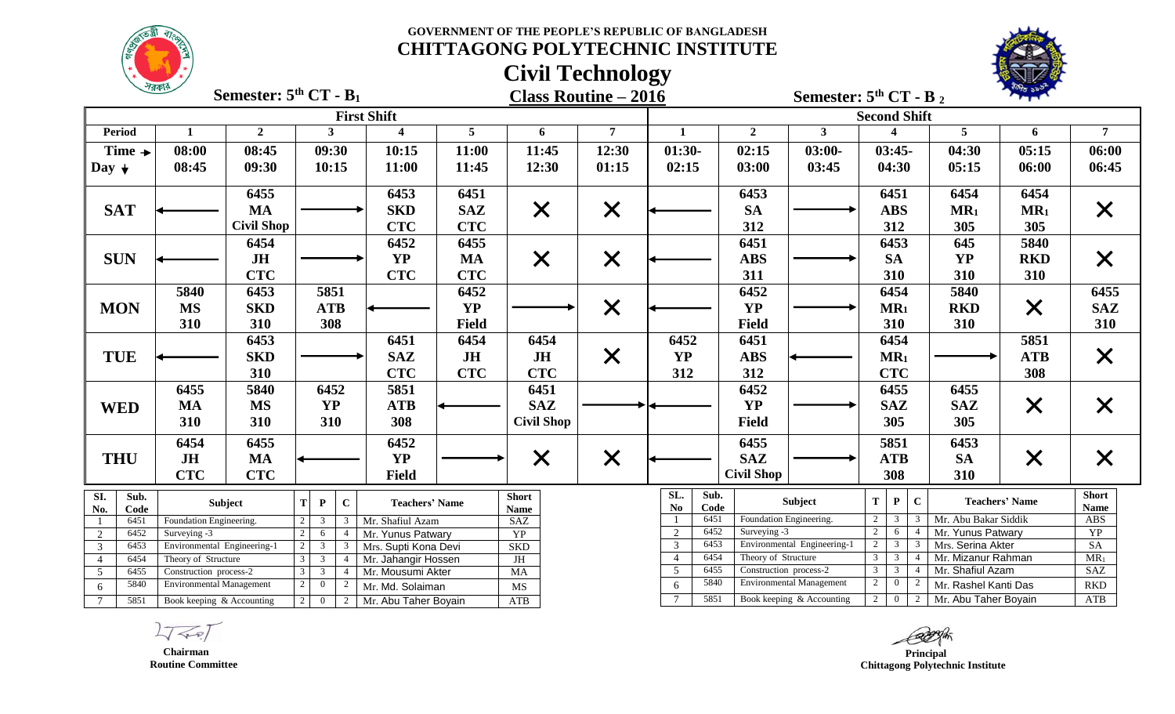

|                                                  |                         |                                                                                                                       |                              |                         |              | <b>Civil Technology</b>     |                   |                                                  |                                 |                                       |                                                       |                                         |                 |                      |
|--------------------------------------------------|-------------------------|-----------------------------------------------------------------------------------------------------------------------|------------------------------|-------------------------|--------------|-----------------------------|-------------------|--------------------------------------------------|---------------------------------|---------------------------------------|-------------------------------------------------------|-----------------------------------------|-----------------|----------------------|
|                                                  | শরকা                    | Semester: $5th$ CT - B <sub>1</sub>                                                                                   |                              |                         |              | <b>Class Routine - 2016</b> |                   |                                                  |                                 | Semester: $5th CT - B_2$              |                                                       |                                         |                 |                      |
|                                                  |                         |                                                                                                                       |                              | <b>First Shift</b>      |              |                             |                   |                                                  |                                 |                                       | <b>Second Shift</b>                                   |                                         |                 |                      |
| <b>Period</b>                                    | $\mathbf{1}$            | $\overline{2}$                                                                                                        | 3 <sup>1</sup>               | $\overline{\mathbf{4}}$ | 5            | 6                           | $\overline{7}$    | $\mathbf{1}$                                     | $\overline{2}$                  | $3^{\circ}$                           |                                                       | 5                                       | 6               | $\overline{7}$       |
| Time $\rightarrow$                               | 08:00                   | 08:45                                                                                                                 | 09:30                        | 10:15                   | 11:00        | 11:45                       | 12:30             | $01:30-$                                         | 02:15                           | $03:00-$                              | $03:45-$                                              | 04:30                                   | 05:15           | 06:00                |
| Day $\downarrow$                                 | 08:45                   | 09:30                                                                                                                 | 10:15                        | 11:00                   | 11:45        | 12:30                       | 01:15             | 02:15                                            | 03:00                           | 03:45                                 | 04:30                                                 | 05:15                                   | 06:00           | 06:45                |
|                                                  |                         | 6455                                                                                                                  |                              | 6453                    | 6451         |                             |                   |                                                  | 6453                            |                                       | 6451                                                  | 6454                                    | 6454            |                      |
| <b>SAT</b>                                       |                         | <b>MA</b>                                                                                                             |                              | <b>SKD</b>              | <b>SAZ</b>   | $\times$                    | $\times$          |                                                  | <b>SA</b>                       |                                       | <b>ABS</b>                                            | MR <sub>1</sub>                         | MR <sub>1</sub> | $\bm{\mathsf{X}}$    |
|                                                  |                         | <b>Civil Shop</b>                                                                                                     |                              | <b>CTC</b>              | <b>CTC</b>   |                             |                   |                                                  | 312                             |                                       | 312                                                   | 305                                     | 305             |                      |
|                                                  |                         | 6454                                                                                                                  |                              | 6452                    | 6455         |                             |                   |                                                  | 6451                            |                                       | 6453                                                  | 645                                     | 5840            |                      |
| <b>SUN</b>                                       |                         | <b>JH</b>                                                                                                             |                              | <b>YP</b>               | <b>MA</b>    | X                           | $\bm{\mathsf{X}}$ |                                                  | <b>ABS</b>                      |                                       | <b>SA</b>                                             | <b>YP</b>                               | <b>RKD</b>      | X                    |
|                                                  |                         | <b>CTC</b>                                                                                                            |                              | <b>CTC</b>              | <b>CTC</b>   |                             |                   |                                                  | 311                             |                                       | 310                                                   | 310                                     | 310             |                      |
|                                                  | 5840                    | 6453                                                                                                                  | 5851                         |                         | 6452         |                             |                   |                                                  | 6452                            |                                       | 6454                                                  | 5840                                    |                 | 6455                 |
| <b>MON</b>                                       | <b>MS</b>               | <b>SKD</b>                                                                                                            | <b>ATB</b>                   |                         | <b>YP</b>    |                             | $\times$          |                                                  | <b>YP</b>                       |                                       | $MR_1$                                                | <b>RKD</b>                              | $\times$        | <b>SAZ</b>           |
|                                                  | 310                     | 310                                                                                                                   | 308                          |                         | <b>Field</b> |                             |                   |                                                  | <b>Field</b>                    |                                       | 310                                                   | 310                                     |                 | 310                  |
|                                                  |                         | 6453                                                                                                                  |                              | 6451                    | 6454         | 6454                        |                   | 6452                                             | 6451                            |                                       | 6454                                                  |                                         | 5851            |                      |
| <b>TUE</b>                                       |                         | <b>SKD</b>                                                                                                            |                              | <b>SAZ</b>              | <b>JH</b>    | <b>JH</b>                   | $\times$          | <b>YP</b>                                        | <b>ABS</b>                      |                                       | MR <sub>1</sub>                                       |                                         | <b>ATB</b>      | $\times$             |
|                                                  |                         | 310                                                                                                                   |                              | <b>CTC</b>              | <b>CTC</b>   | <b>CTC</b>                  |                   | 312                                              | 312                             |                                       | <b>CTC</b>                                            |                                         | 308             |                      |
|                                                  | 6455                    | 5840                                                                                                                  | 6452                         | 5851                    |              | 6451                        |                   |                                                  | 6452                            |                                       | 6455                                                  | 6455                                    |                 |                      |
| <b>WED</b>                                       | <b>MA</b>               | <b>MS</b>                                                                                                             | <b>YP</b>                    | <b>ATB</b>              |              | <b>SAZ</b>                  |                   |                                                  | <b>YP</b>                       |                                       | <b>SAZ</b>                                            | <b>SAZ</b>                              | $\times$        | $\bm{\mathsf{X}}$    |
|                                                  | 310                     | 310                                                                                                                   | 310                          | 308                     |              | <b>Civil Shop</b>           |                   |                                                  | <b>Field</b>                    |                                       | 305                                                   | 305                                     |                 |                      |
|                                                  | 6454                    | 6455                                                                                                                  |                              | 6452                    |              |                             |                   |                                                  | 6455                            |                                       | 5851                                                  | 6453                                    |                 |                      |
| <b>THU</b>                                       | <b>JH</b>               | <b>MA</b>                                                                                                             |                              | <b>YP</b>               |              | $\times$                    | $\times$          |                                                  | <b>SAZ</b>                      |                                       | <b>ATB</b>                                            | <b>SA</b>                               | $\times$        | $\bm{\mathsf{X}}$    |
|                                                  | <b>CTC</b>              | <b>CTC</b>                                                                                                            |                              | <b>Field</b>            |              |                             |                   |                                                  | <b>Civil Shop</b>               |                                       | 308                                                   | 310                                     |                 |                      |
| Sub.<br>SI.<br>No.<br>Code                       |                         | Subject                                                                                                               | $\bf C$<br>T<br>$\mathbf{P}$ | <b>Teachers' Name</b>   |              | <b>Short</b><br><b>Name</b> |                   | SL.<br>Sub.<br>N <sub>0</sub><br>Code            |                                 | Subject                               | T<br>$\mathbf{P}$<br>$\mathbf C$                      | <b>Teachers' Name</b>                   |                 | <b>Short</b><br>Name |
| 6451                                             | Foundation Engineering. |                                                                                                                       | 3<br>3                       | Mr. Shafiul Azam        |              | SAZ                         |                   | 6451                                             | Foundation Engineering.         |                                       | $\overline{2}$<br>$\overline{3}$<br>3                 | Mr. Abu Bakar Siddik                    |                 | <b>ABS</b>           |
| 6452<br>2                                        | Surveying -3            |                                                                                                                       | 6<br>$\boldsymbol{\Lambda}$  | Mr. Yunus Patwary       |              | <b>YP</b>                   |                   | 6452<br>$\overline{2}$                           | Surveying -3                    |                                       | $\overline{2}$<br>6<br>$\overline{4}$                 | Mr. Yunus Patwary                       |                 | YP                   |
| $\mathfrak{Z}$<br>6453<br>6454<br>$\overline{4}$ | Theory of Structure     | $\mathbf{3}$<br>Environmental Engineering-1<br>$\overline{3}$<br>Mrs. Supti Kona Devi                                 |                              |                         |              | <b>SKD</b><br>JH            |                   | 6453<br>$\mathfrak{Z}$<br>6454<br>$\overline{4}$ | Theory of Structure             | Environmental Engineering-1           | $\overline{2}$<br>3<br>$\mathbf{3}$<br>$\overline{3}$ | Mrs. Serina Akter<br>Mr. Mizanur Rahman |                 | SA<br>$MR_1$         |
| 6455<br>5                                        | Construction process-2  | 3 <sup>7</sup><br>Mr. Jahangir Hossen<br>$\overline{4}$<br>$\mathfrak{Z}$<br>3<br>Mr. Mousumi Akter<br>$\overline{4}$ |                              |                         |              | <b>MA</b>                   |                   | 6455<br>5                                        | Construction process-2          |                                       | 3 <sup>7</sup><br>$\overline{3}$                      | Mr. Shafiul Azam                        |                 | <b>SAZ</b>           |
| 5840<br>6                                        |                         | <b>Environmental Management</b><br>$\overline{c}$<br>$\overline{0}$<br>$\overline{2}$<br>Mr. Md. Solaiman             |                              |                         | MS           |                             | 5840<br>6         |                                                  | <b>Environmental Management</b> | $\overline{2}$<br>$\overline{0}$<br>2 | Mr. Rashel Kanti Das                                  |                                         | <b>RKD</b>      |                      |
| $\tau$<br>5851                                   |                         | Book keeping & Accounting<br>$\overline{0}$<br>2<br>Mr. Abu Taher Boyain                                              |                              |                         |              | <b>ATB</b>                  |                   | 5851<br>$\tau$                                   |                                 | Book keeping & Accounting             | $\overline{2}$<br>2<br>$\overline{0}$                 | Mr. Abu Taher Boyain                    |                 | <b>ATB</b>           |

 **Chairman Routine Committee**

 **Principal Chittagong Polytechnic Institute**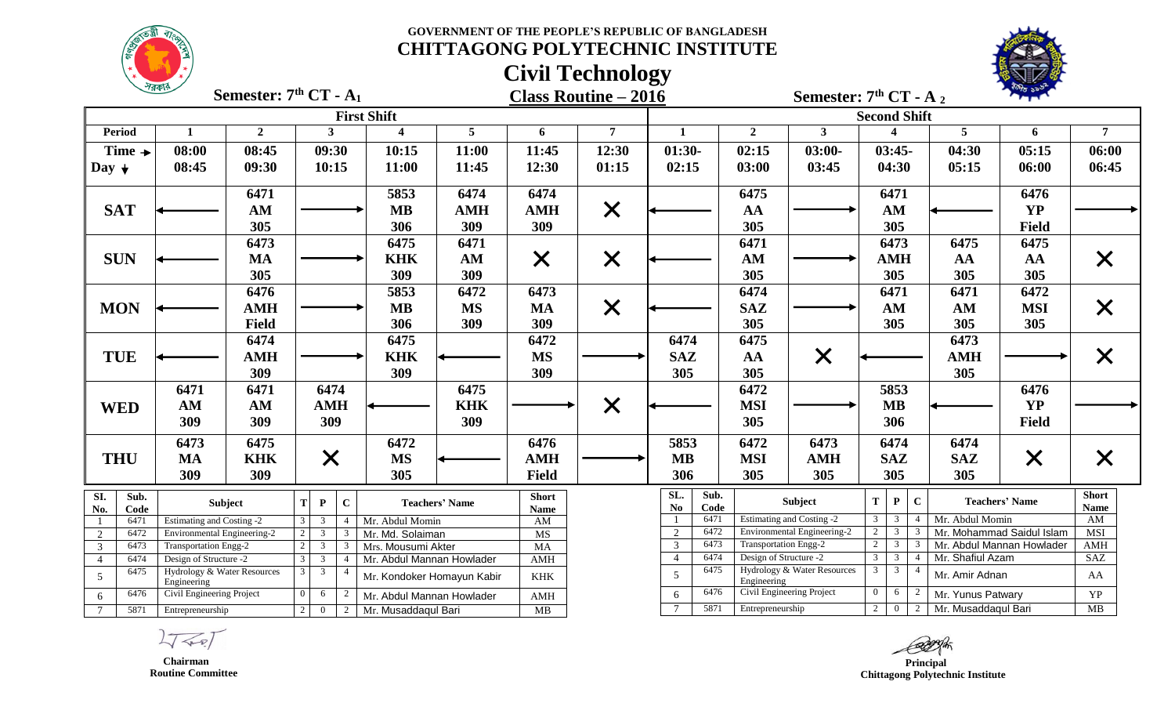



|                                | 18915                                                 |                | Semester: $7th CT - A1$                                                      |                           |                            |                             | <b>Class Routine - 2016</b> |                                |                        | Semester: $7th CT - A_2$         |                     |                                  |                          |                     |                           |                             |
|--------------------------------|-------------------------------------------------------|----------------|------------------------------------------------------------------------------|---------------------------|----------------------------|-----------------------------|-----------------------------|--------------------------------|------------------------|----------------------------------|---------------------|----------------------------------|--------------------------|---------------------|---------------------------|-----------------------------|
|                                |                                                       |                |                                                                              | <b>First Shift</b>        |                            |                             |                             |                                |                        |                                  | <b>Second Shift</b> |                                  |                          |                     |                           |                             |
| <b>Period</b>                  | 1                                                     | $\overline{2}$ | $\mathbf{3}$                                                                 | $\overline{\mathbf{4}}$   | $5\overline{)}$            | 6                           | $\overline{7}$              | $\mathbf{1}$                   | $\overline{2}$         | 3 <sup>1</sup>                   |                     | $\boldsymbol{\Lambda}$           |                          | $5\phantom{.0}$     | 6                         | $\overline{7}$              |
| Time $\rightarrow$             | 08:00                                                 | 08:45          | 09:30                                                                        | 10:15                     | 11:00                      | 11:45                       | 12:30                       | $01:30-$                       | 02:15                  | $03:00-$                         |                     | $03:45-$                         |                          | 04:30               | 05:15                     | 06:00                       |
| Day $\downarrow$               | 08:45                                                 | 09:30          | 10:15                                                                        | 11:00                     | 11:45                      | 12:30                       | 01:15                       | 02:15                          | 03:00                  | 03:45                            |                     | 04:30                            |                          | 05:15               | 06:00                     | 06:45                       |
|                                |                                                       | 6471           |                                                                              | 5853                      | 6474                       | 6474                        |                             |                                | 6475                   |                                  |                     | 6471                             |                          |                     | 6476                      |                             |
| <b>SAT</b>                     |                                                       | AM             |                                                                              | <b>MB</b>                 | <b>AMH</b>                 | <b>AMH</b>                  | $\times$                    |                                | AA                     |                                  |                     | AM                               |                          |                     | <b>YP</b>                 |                             |
|                                |                                                       | 305            |                                                                              | 306                       | 309                        | 309                         |                             |                                | 305                    |                                  |                     | 305                              |                          |                     | <b>Field</b>              |                             |
|                                |                                                       | 6473           |                                                                              | 6475                      | 6471                       |                             |                             |                                | 6471                   |                                  |                     | 6473                             |                          | 6475                | 6475                      |                             |
| <b>SUN</b>                     |                                                       | <b>MA</b>      |                                                                              | <b>KHK</b>                | AM                         | $\times$                    | $\times$                    |                                | AM                     |                                  |                     | <b>AMH</b>                       |                          | AA                  | AA                        | X                           |
|                                |                                                       | 305            |                                                                              | 309                       | 309                        |                             |                             |                                | 305                    |                                  |                     | 305                              |                          | 305                 | 305                       |                             |
|                                |                                                       | 6476           |                                                                              | 5853                      | 6472                       | 6473                        |                             |                                | 6474                   |                                  |                     | 6471                             |                          | 6471                | 6472                      |                             |
| <b>MON</b>                     |                                                       | <b>AMH</b>     |                                                                              | <b>MB</b>                 | <b>MS</b>                  | <b>MA</b>                   | $\times$                    |                                | <b>SAZ</b>             |                                  |                     | AM                               |                          | AM                  | <b>MSI</b>                | X                           |
|                                |                                                       | <b>Field</b>   |                                                                              | 306                       | 309                        | 309                         |                             |                                | 305                    |                                  |                     | 305                              |                          | 305                 | 305                       |                             |
|                                |                                                       | 6474           |                                                                              | 6475                      |                            | 6472                        |                             | 6474                           | 6475                   |                                  |                     |                                  |                          | 6473                |                           |                             |
| <b>TUE</b>                     |                                                       | <b>AMH</b>     |                                                                              | <b>KHK</b>                |                            | <b>MS</b>                   |                             | <b>SAZ</b>                     | AA                     | $\times$                         |                     |                                  |                          | <b>AMH</b>          |                           | X                           |
|                                |                                                       | 309            |                                                                              | 309                       |                            | 309                         |                             | 305                            | 305                    |                                  |                     |                                  |                          | 305                 |                           |                             |
|                                | 6471                                                  | 6471           | 6474                                                                         |                           | 6475                       |                             |                             |                                | 6472                   |                                  |                     | 5853                             |                          |                     | 6476                      |                             |
| <b>WED</b>                     | AM                                                    | AM             | <b>AMH</b>                                                                   |                           | <b>KHK</b>                 |                             | $\times$                    |                                | <b>MSI</b>             |                                  |                     | <b>MB</b>                        |                          |                     | <b>YP</b>                 |                             |
|                                | 309                                                   | 309            | 309                                                                          |                           | 309                        |                             |                             |                                | 305                    |                                  |                     | 306                              |                          |                     | <b>Field</b>              |                             |
|                                | 6473                                                  | 6475           |                                                                              | 6472                      |                            | 6476                        |                             | 5853                           | 6472                   | 6473                             |                     | 6474                             |                          | 6474                |                           |                             |
| <b>THU</b>                     | <b>MA</b>                                             | <b>KHK</b>     | $\times$                                                                     | <b>MS</b>                 |                            | <b>AMH</b>                  |                             | <b>MB</b>                      | <b>MSI</b>             | <b>AMH</b>                       |                     | <b>SAZ</b>                       |                          | <b>SAZ</b>          | $\times$                  |                             |
|                                | 309                                                   | 309            |                                                                              | 305                       |                            | <b>Field</b>                |                             | 306                            | 305                    | 305                              |                     | 305                              |                          | 305                 |                           |                             |
| SI.<br>Sub.<br>No.<br>Code     |                                                       | Subject        | $\mathbf C$<br>T<br>${\bf P}$                                                |                           | <b>Teachers' Name</b>      | <b>Short</b><br><b>Name</b> |                             | SL.<br>Sub.<br>No<br>Code      |                        | Subject                          | $\mathbf T$         | ${\bf P}$                        | $\mathbf{C}$             |                     | <b>Teachers' Name</b>     | <b>Short</b><br><b>Name</b> |
| 6471                           | <b>Estimating and Costing -2</b>                      |                | $\overline{3}$<br>$\mathbf{3}$<br>$\overline{4}$                             | Mr. Abdul Momin           |                            | $\mathbf{A}\mathbf{M}$      |                             | 6471                           |                        | <b>Estimating and Costing -2</b> | 3                   | 3                                |                          | Mr. Abdul Momin     |                           | AM                          |
| 6472<br>2                      | Environmental Engineering-2                           |                | $\mathbf{3}$<br>$\mathcal{R}$                                                | Mr. Md. Solaiman          |                            | MS                          |                             | $\overline{2}$<br>6472         |                        | Environmental Engineering-2      | 2                   | $\mathbf{3}$                     |                          |                     | Mr. Mohammad Saidul Islam | MSI                         |
| 6473<br>3                      | <b>Transportation Engg-2</b>                          |                | $\mathbf{3}$<br>3                                                            | Mrs. Mousumi Akter        |                            | MA                          |                             | $\overline{3}$<br>6473<br>6474 |                        | <b>Transportation Engg-2</b>     | 2<br>$\overline{3}$ | 3 <sup>1</sup><br>$\overline{3}$ | $\boldsymbol{\varDelta}$ |                     | Mr. Abdul Mannan Howlader | AMH                         |
| 6474<br>$\overline{4}$<br>6475 | Design of Structure -2<br>Hydrology & Water Resources |                | $\mathbf{3}$<br>3<br>$\overline{4}$<br>3 <sup>7</sup><br>3<br>$\overline{4}$ | Mr. Abdul Mannan Howlader |                            | AMH                         |                             | $\overline{4}$<br>6475         | Design of Structure -2 | Hydrology & Water Resources      | $\overline{3}$      | $\overline{\mathbf{3}}$          |                          | Mr. Shafiul Azam    |                           | SAZ                         |
| 5                              | Engineering                                           |                |                                                                              |                           | Mr. Kondoker Homayun Kabir | $\operatorname{KHK}$        |                             | 5                              | Engineering            |                                  |                     |                                  |                          | Mr. Amir Adnan      |                           | AA                          |
| 6476<br>6                      | Civil Engineering Project                             |                | 6                                                                            | Mr. Abdul Mannan Howlader |                            | AMH                         |                             | 6476<br>6                      |                        | Civil Engineering Project        | $\Omega$            | 6                                |                          | Mr. Yunus Patwary   |                           | YP                          |
| 5871<br>$7\overline{ }$        | Entrepreneurship                                      |                | $\overline{0}$<br>2 <sup>1</sup><br>$\overline{2}$                           | Mr. Musaddaqul Bari       |                            | MB                          |                             | 5871                           | Entrepreneurship       |                                  | $\overline{2}$      | $\overline{0}$                   | 2                        | Mr. Musaddaqul Bari |                           | MB                          |

 $\sqrt{P}$ 

 **Chairman Routine Committee**

 **Principal Chittagong Polytechnic Institute**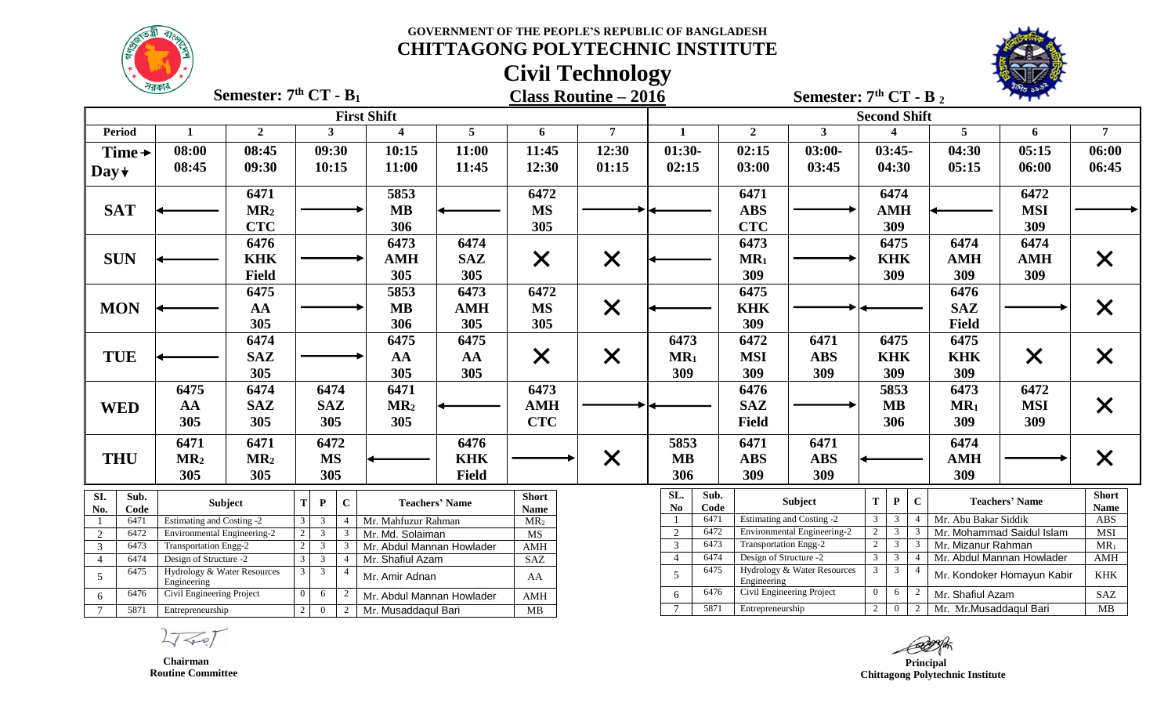



|                                | $\frac{1}{2}$                              | Semester: $7th CT - B1$ |                                  |                           |                       |                                | <b>Class Routine - 2016</b> |                                       |                        | Semester: $7th CT - B_2$    |                                |                                  |                |                         |                            |                      |
|--------------------------------|--------------------------------------------|-------------------------|----------------------------------|---------------------------|-----------------------|--------------------------------|-----------------------------|---------------------------------------|------------------------|-----------------------------|--------------------------------|----------------------------------|----------------|-------------------------|----------------------------|----------------------|
|                                |                                            |                         |                                  | <b>First Shift</b>        |                       |                                |                             |                                       |                        |                             | <b>Second Shift</b>            |                                  |                |                         |                            |                      |
| <b>Period</b>                  | 1                                          | $\overline{2}$          | $\mathbf{3}$                     | $\overline{\mathbf{4}}$   | $5\overline{)}$       | 6                              | $\overline{7}$              | $\mathbf{1}$                          | $\overline{2}$         | 3 <sup>1</sup>              |                                | $\boldsymbol{\Lambda}$           |                | $\overline{5}$          | 6                          | $\overline{7}$       |
| Time $\rightarrow$             | 08:00                                      | 08:45                   | 09:30                            | 10:15                     | 11:00                 | 11:45                          | 12:30                       | $01:30-$                              | 02:15                  | $03:00-$                    |                                | $03:45-$                         |                | 04:30                   | 05:15                      | 06:00                |
| Day $\star$                    | 08:45                                      | 09:30                   | 10:15                            | 11:00                     | 11:45                 | 12:30                          | 01:15                       | 02:15                                 | 03:00                  | 03:45                       |                                | 04:30                            |                | 05:15                   | 06:00                      | 06:45                |
|                                |                                            | 6471                    |                                  | 5853                      |                       | 6472                           |                             |                                       | 6471                   |                             |                                | 6474                             |                |                         | 6472                       |                      |
| <b>SAT</b>                     |                                            | MR <sub>2</sub>         |                                  | <b>MB</b>                 |                       | <b>MS</b>                      |                             |                                       | <b>ABS</b>             |                             |                                | <b>AMH</b>                       |                |                         | <b>MSI</b>                 |                      |
|                                |                                            | <b>CTC</b>              |                                  | 306                       |                       | 305                            |                             |                                       | <b>CTC</b>             |                             |                                | 309                              |                |                         | 309                        |                      |
|                                |                                            | 6476                    |                                  | 6473                      | 6474                  |                                |                             |                                       | 6473                   |                             |                                | 6475                             |                | 6474                    | 6474                       |                      |
| <b>SUN</b>                     |                                            | <b>KHK</b>              |                                  | <b>AMH</b>                | <b>SAZ</b>            | $\times$                       | $\times$                    |                                       | $MR_1$                 |                             |                                | <b>KHK</b>                       |                | <b>AMH</b>              | <b>AMH</b>                 | $\bm{\mathsf{X}}$    |
|                                |                                            | <b>Field</b>            |                                  | 305                       | 305                   |                                |                             |                                       | 309                    |                             |                                | 309                              |                | 309                     | 309                        |                      |
|                                |                                            | 6475                    |                                  | 5853                      | 6473                  | 6472                           |                             |                                       | 6475                   |                             |                                |                                  |                | 6476                    |                            |                      |
| <b>MON</b>                     |                                            | AA                      |                                  | <b>MB</b>                 | <b>AMH</b>            | <b>MS</b>                      | $\times$                    |                                       | <b>KHK</b>             |                             |                                |                                  |                | <b>SAZ</b>              |                            | $\bm{\mathsf{X}}$    |
|                                |                                            | 305                     |                                  | 306                       | 305                   | 305                            |                             |                                       | 309                    |                             |                                |                                  |                | <b>Field</b>            |                            |                      |
|                                |                                            | 6474                    |                                  | 6475                      | 6475                  |                                |                             | 6473                                  | 6472                   | 6471                        |                                | 6475                             |                | 6475                    |                            |                      |
| <b>TUE</b>                     |                                            | <b>SAZ</b>              |                                  | AA                        | AA                    | $\bm{\mathsf{X}}$              | $\times$                    | MR <sub>1</sub>                       | <b>MSI</b>             | <b>ABS</b>                  |                                | <b>KHK</b>                       |                | <b>KHK</b>              | $\times$                   | $\bm{\mathsf{X}}$    |
|                                |                                            | 305                     |                                  | 305                       | 305                   |                                |                             | 309                                   | 309                    | 309                         |                                | 309                              |                | 309                     |                            |                      |
|                                | 6475                                       | 6474                    | 6474                             | 6471                      |                       | 6473                           |                             |                                       | 6476                   |                             |                                | 5853                             |                | 6473                    | 6472                       |                      |
| <b>WED</b>                     | AA                                         | <b>SAZ</b>              | <b>SAZ</b>                       | MR <sub>2</sub>           |                       | <b>AMH</b>                     |                             |                                       | <b>SAZ</b>             |                             |                                | <b>MB</b>                        |                | MR <sub>1</sub>         | <b>MSI</b>                 | $\bm{\mathsf{X}}$    |
|                                | 305                                        | 305                     | 305                              | 305                       |                       | <b>CTC</b>                     |                             |                                       | <b>Field</b>           |                             |                                | 306                              |                | 309                     | 309                        |                      |
|                                | 6471                                       | 6471                    | 6472                             |                           | 6476                  |                                |                             | 5853                                  | 6471                   | 6471                        |                                |                                  |                | 6474                    |                            |                      |
| <b>THU</b>                     | MR <sub>2</sub>                            | MR <sub>2</sub>         | <b>MS</b>                        |                           | <b>KHK</b>            |                                | $\times$                    | <b>MB</b>                             | <b>ABS</b>             | <b>ABS</b>                  |                                |                                  |                | <b>AMH</b>              |                            | $\bm{\mathsf{X}}$    |
|                                | 305                                        | 305                     | 305                              |                           | <b>Field</b>          |                                |                             | 306                                   | 309                    | 309                         |                                |                                  |                | 309                     |                            |                      |
| SI.<br>Sub.<br>No.<br>Code     |                                            | <b>Subject</b>          | $\mathbf{C}$<br>P                |                           | <b>Teachers' Name</b> | <b>Short</b>                   |                             | SL.<br>Sub.<br>N <sub>o</sub><br>Code |                        | Subject                     | $\mathbf T$                    | ${\bf P}$                        | $\mathbf C$    |                         | <b>Teachers' Name</b>      | <b>Short</b><br>Name |
| 6471                           | <b>Estimating and Costing -2</b>           |                         | $\mathbf{3}$<br>$\mathbf{3}$     | Mr. Mahfuzur Rahman       |                       | <b>Name</b><br>MR <sub>2</sub> |                             | 6471                                  |                        | Estimating and Costing -2   | 3                              | 3                                |                | Mr. Abu Bakar Siddik    |                            | ABS                  |
| 6472<br>2                      | Environmental Engineering-2                |                         | $\mathbf{3}$<br>3                | Mr. Md. Solaiman          |                       | MS                             |                             | $\overline{2}$<br>6472                |                        | Environmental Engineering-2 |                                | 3 <sup>7</sup>                   |                |                         | Mr. Mohammad Saidul Islam  | MSI                  |
| 6473<br>$\overline{3}$         | Transportation Engg-2                      |                         | $\mathfrak{Z}$<br>3              | Mr. Abdul Mannan Howlader |                       | AMH                            |                             | $\overline{3}$<br>6473                | Transportation Engg-2  |                             | 2                              | $\overline{3}$                   |                | Mr. Mizanur Rahman      |                            | $MR_1$               |
| 6474<br>$\overline{4}$<br>6475 | Design of Structure -2                     |                         | $\mathfrak{Z}$<br>$\overline{3}$ | Mr. Shafiul Azam          |                       | SAZ                            |                             | 6474<br>$\overline{4}$<br>6475        | Design of Structure -2 | Hydrology & Water Resources | $\mathbf{3}$<br>3 <sup>1</sup> | $\overline{3}$<br>3 <sup>1</sup> | $\overline{A}$ |                         | Mr. Abdul Mannan Howlader  | AMH                  |
| $\overline{5}$                 | Hydrology & Water Resources<br>Engineering |                         | $\overline{4}$                   | Mr. Amir Adnan            |                       | AA                             |                             | 5                                     | Engineering            |                             |                                |                                  |                |                         | Mr. Kondoker Homayun Kabir | KHK                  |
| 6476<br>6                      | Civil Engineering Project                  |                         | 6                                | Mr. Abdul Mannan Howlader |                       | AMH                            |                             | 6476<br>6                             |                        | Civil Engineering Project   | $\Omega$                       | 6                                |                | Mr. Shafiul Azam        |                            | SAZ                  |
| $7\overline{ }$<br>5871        | Entrepreneurship<br>$\overline{0}$<br>2    |                         |                                  | Mr. Musaddaqul Bari       |                       | MB                             |                             | 5871<br>$\overline{7}$                | Entrepreneurship       |                             | 2                              | $\overline{0}$                   | 2 <sup>1</sup> | Mr. Mr. Musaddaqul Bari |                            | MB                   |

 $2777$ 

 **Chairman Routine Committee**

 **Principal Chittagong Polytechnic Institute**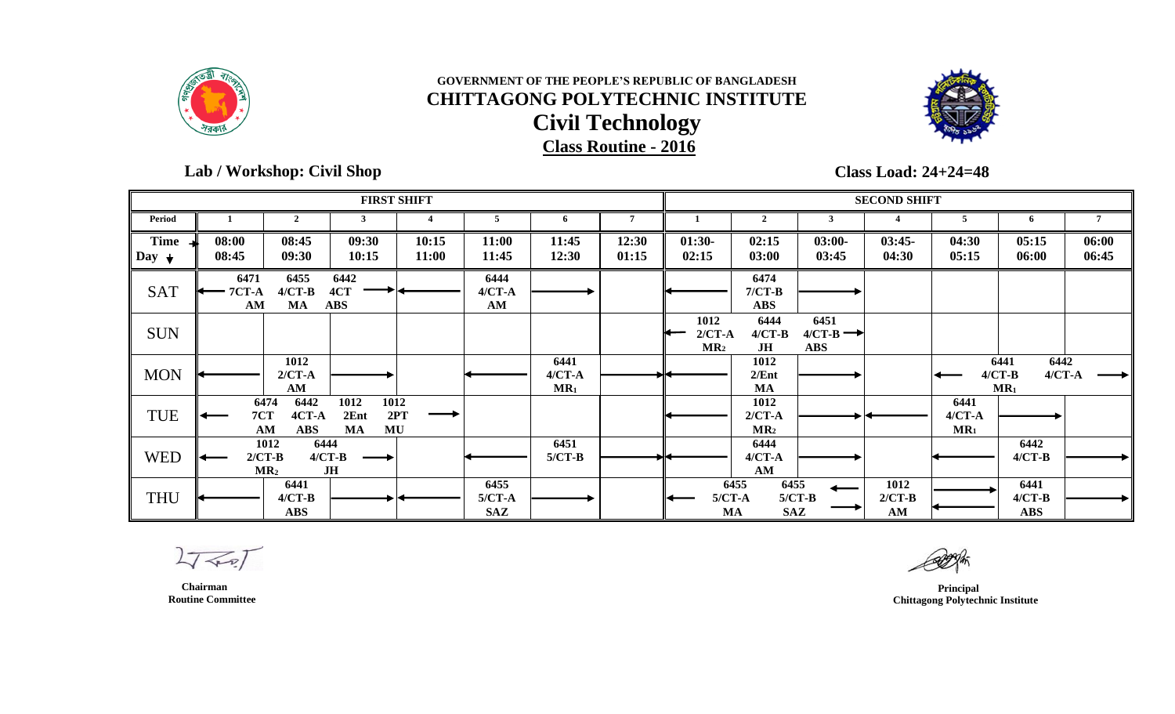



### **Lab / Workshop: Civil Shop**

**Class Load: 24+24=48**

|                                 |                            |                                             |                                  | <b>FIRST SHIFT</b> |                                |                              |                |                                     |                                                     |                                            | <b>SECOND SHIFT</b>      |                              |                                                  |                |
|---------------------------------|----------------------------|---------------------------------------------|----------------------------------|--------------------|--------------------------------|------------------------------|----------------|-------------------------------------|-----------------------------------------------------|--------------------------------------------|--------------------------|------------------------------|--------------------------------------------------|----------------|
| Period                          |                            | $\mathbf{2}$                                |                                  |                    | 5                              | -6                           | 7              |                                     | $\mathbf{2}$                                        | 3                                          |                          | 5                            | 6                                                |                |
| <b>Time</b><br>Day $\downarrow$ | 08:00<br>08:45             | 08:45<br>09:30                              | 09:30<br>10:15                   | 10:15<br>11:00     | 11:00<br>11:45                 | 11:45<br>12:30               | 12:30<br>01:15 | $01:30-$<br>02:15                   | 02:15<br>03:00                                      | $03:00-$<br>03:45                          | $03:45-$<br>04:30        | 04:30<br>05:15               | 05:15<br>06:00                                   | 06:00<br>06:45 |
| <b>SAT</b>                      | 6471<br><b>7CT-A</b><br>AM | 6455<br>$4/CT-B$<br>MA                      | 6442<br>4CT<br><b>ABS</b>        |                    | 6444<br>$4/CT - A$<br>AM       |                              |                |                                     | 6474<br>$7/CT-B$<br><b>ABS</b>                      |                                            |                          |                              |                                                  |                |
| <b>SUN</b>                      |                            |                                             |                                  |                    |                                |                              |                | 1012<br>$2/CT-A$<br>MR <sub>2</sub> | 6444<br>$4/CT-B$<br>JH                              | 6451<br>$4/CT-B \rightarrow$<br><b>ABS</b> |                          |                              |                                                  |                |
| <b>MON</b>                      |                            | 1012<br>$2/CT-A$<br>$AM$                    |                                  |                    |                                | 6441<br>$4/CT - A$<br>$MR_1$ |                |                                     | 1012<br>2/Ent<br><b>MA</b>                          |                                            |                          |                              | 6442<br>6441<br>$4/CT-B$<br>$4/CT - A$<br>$MR_1$ |                |
| TUE                             | 7CT                        | 6474<br>6442<br>4CT-A<br>AM<br><b>ABS</b>   | 1012<br>1012<br>2Ent<br>MU<br>MA | 2PT                |                                |                              |                |                                     | 1012<br>$2/CT-A$<br>MR <sub>2</sub>                 |                                            |                          | 6441<br>$4/CT - A$<br>$MR_1$ |                                                  |                |
| <b>WED</b>                      |                            | 6444<br>1012<br>$2/CT-B$<br>MR <sub>2</sub> | $4/CT-B$<br>JH                   |                    |                                | 6451<br>$5/CT-B$             |                |                                     | 6444<br>$4/CT - A$<br>AM                            |                                            |                          |                              | 6442<br>$4/CT-B$                                 |                |
| <b>THU</b>                      |                            | 6441<br>$4/CT-B$<br><b>ABS</b>              |                                  |                    | 6455<br>$5/CT-A$<br><b>SAZ</b> |                              |                |                                     | 6455<br>6455<br>$5/CT-A$<br><b>SAZ</b><br><b>MA</b> | $5/CT-B$                                   | 1012<br>$2/CT-B$<br>$AM$ |                              | 6441<br>$4/CT-B$<br><b>ABS</b>                   |                |

 $2777$ 

 **Principal Chittagong Polytechnic Institute**

 **Chairman Routine Committee**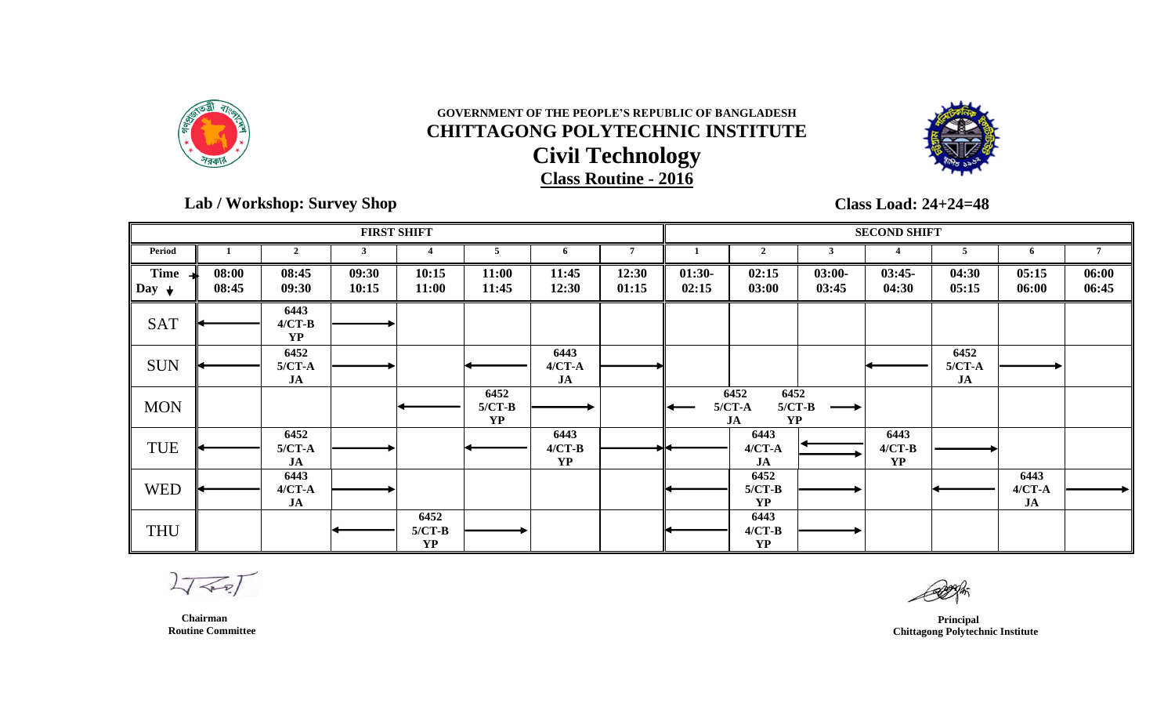



 **Lab / Workshop: Survey Shop** 

# **Class Load: 24+24=48**

|                       |                |                                     |                | <b>FIRST SHIFT</b>            |                               |                                   |                |                   |                                                         |                   | <b>SECOND SHIFT</b>           |                        |                          |                |
|-----------------------|----------------|-------------------------------------|----------------|-------------------------------|-------------------------------|-----------------------------------|----------------|-------------------|---------------------------------------------------------|-------------------|-------------------------------|------------------------|--------------------------|----------------|
| Period                |                | $\overline{2}$                      | 3              |                               | 5                             | 6                                 | $\overline{7}$ |                   | $\mathbf{2}$                                            | 3                 |                               | 5                      | 6                        |                |
| <b>Time</b><br>$\log$ | 08:00<br>08:45 | 08:45<br>09:30                      | 09:30<br>10:15 | 10:15<br>11:00                | 11:00<br>11:45                | 11:45<br>12:30                    | 12:30<br>01:15 | $01:30-$<br>02:15 | 02:15<br>03:00                                          | $03:00-$<br>03:45 | $03:45-$<br>04:30             | 04:30<br>05:15         | 05:15<br>06:00           | 06:00<br>06:45 |
| <b>SAT</b>            |                | 6443<br>$4/CT-B$<br><b>YP</b>       |                |                               |                               |                                   |                |                   |                                                         |                   |                               |                        |                          |                |
| <b>SUN</b>            |                | 6452<br>$5/CT-A$<br>JA              |                |                               |                               | 6443<br>$4/CT-A$<br>$J\mathbf{A}$ |                |                   |                                                         |                   |                               | 6452<br>$5/CT-A$<br>JA |                          |                |
| <b>MON</b>            |                |                                     |                |                               | 6452<br>$5/CT-B$<br><b>YP</b> |                                   |                |                   | 6452<br>6452<br>$5/CT-A$<br>$5/CT-B$<br><b>YP</b><br>JA |                   |                               |                        |                          |                |
| <b>TUE</b>            |                | 6452<br>$5/CT-A$<br>JA              |                |                               |                               | 6443<br>$4/CT-B$<br><b>YP</b>     |                |                   | 6443<br>$4/CT - A$<br>JA                                |                   | 6443<br>$4/CT-B$<br><b>YP</b> |                        |                          |                |
| <b>WED</b>            |                | 6443<br>$4/CT - A$<br>$\mathbf{JA}$ |                |                               |                               |                                   |                |                   | 6452<br>$5/CT-B$<br><b>YP</b>                           |                   |                               |                        | 6443<br>$4/CT - A$<br>JA |                |
| <b>THU</b>            |                |                                     |                | 6452<br>$5/CT-B$<br><b>YP</b> |                               |                                   |                |                   | 6443<br>$4/CT-B$<br><b>YP</b>                           |                   |                               |                        |                          |                |

 $2777$ 

 **Principal Chittagong Polytechnic Institute**

 **Chairman Routine Committee**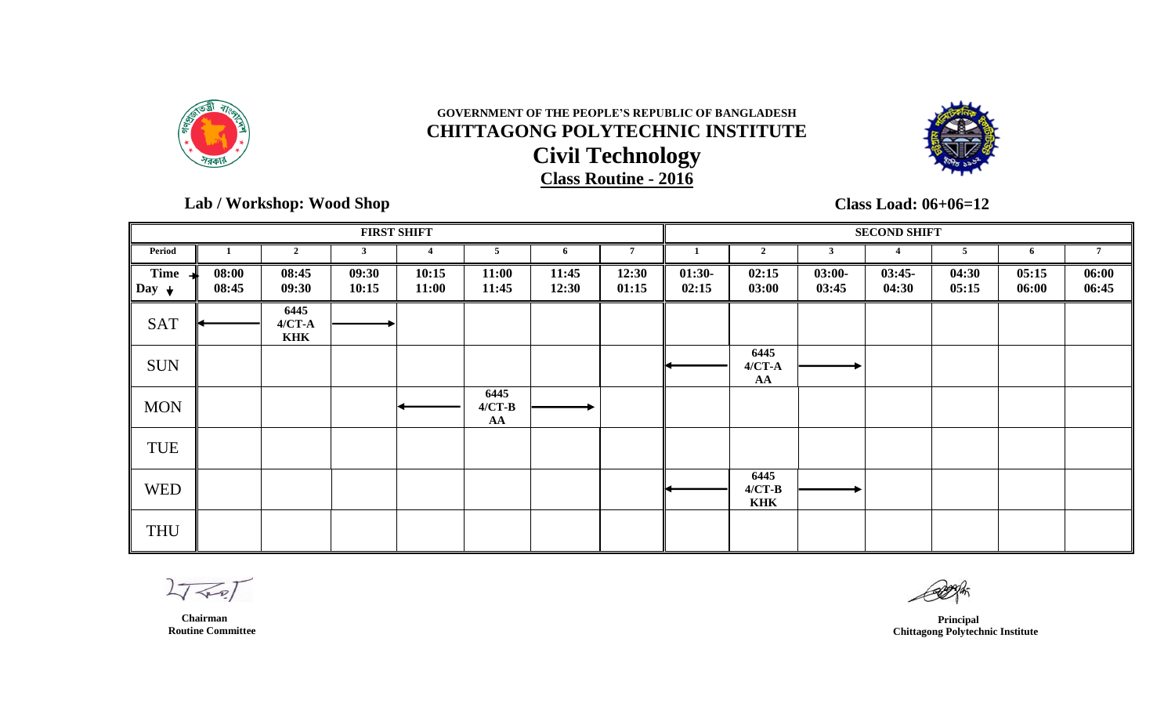



 **Lab / Workshop: Wood Shop** 

**Class Load: 06+06=12**

|                                         |                |                                  |                | <b>FIRST SHIFT</b> |                        |                |                |                   |                                |                   | <b>SECOND SHIFT</b> |                |                |                |
|-----------------------------------------|----------------|----------------------------------|----------------|--------------------|------------------------|----------------|----------------|-------------------|--------------------------------|-------------------|---------------------|----------------|----------------|----------------|
| Period                                  |                | $\overline{2}$                   | 3              |                    | 5                      | -6             | $\overline{7}$ |                   | $\mathcal{D}$                  | 3                 |                     | 5              | 6              |                |
| <b>Time</b><br>$\vert$ Day $\downarrow$ | 08:00<br>08:45 | 08:45<br>09:30                   | 09:30<br>10:15 | 10:15<br>11:00     | 11:00<br>11:45         | 11:45<br>12:30 | 12:30<br>01:15 | $01:30-$<br>02:15 | 02:15<br>03:00                 | $03:00-$<br>03:45 | $03:45-$<br>04:30   | 04:30<br>05:15 | 05:15<br>06:00 | 06:00<br>06:45 |
| <b>SAT</b>                              |                | 6445<br>$4/CT - A$<br><b>KHK</b> |                |                    |                        |                |                |                   |                                |                   |                     |                |                |                |
| <b>SUN</b>                              |                |                                  |                |                    |                        |                |                |                   | 6445<br>$4/CT-A$<br>AA         |                   |                     |                |                |                |
| <b>MON</b>                              |                |                                  |                |                    | 6445<br>$4/CT-B$<br>AA |                |                |                   |                                |                   |                     |                |                |                |
| <b>TUE</b>                              |                |                                  |                |                    |                        |                |                |                   |                                |                   |                     |                |                |                |
| <b>WED</b>                              |                |                                  |                |                    |                        |                |                |                   | 6445<br>$4/CT-B$<br><b>KHK</b> |                   |                     |                |                |                |
| <b>THU</b>                              |                |                                  |                |                    |                        |                |                |                   |                                |                   |                     |                |                |                |

 $2777$ 

 **Chairman Routine Committee**

 **Principal Chittagong Polytechnic Institute**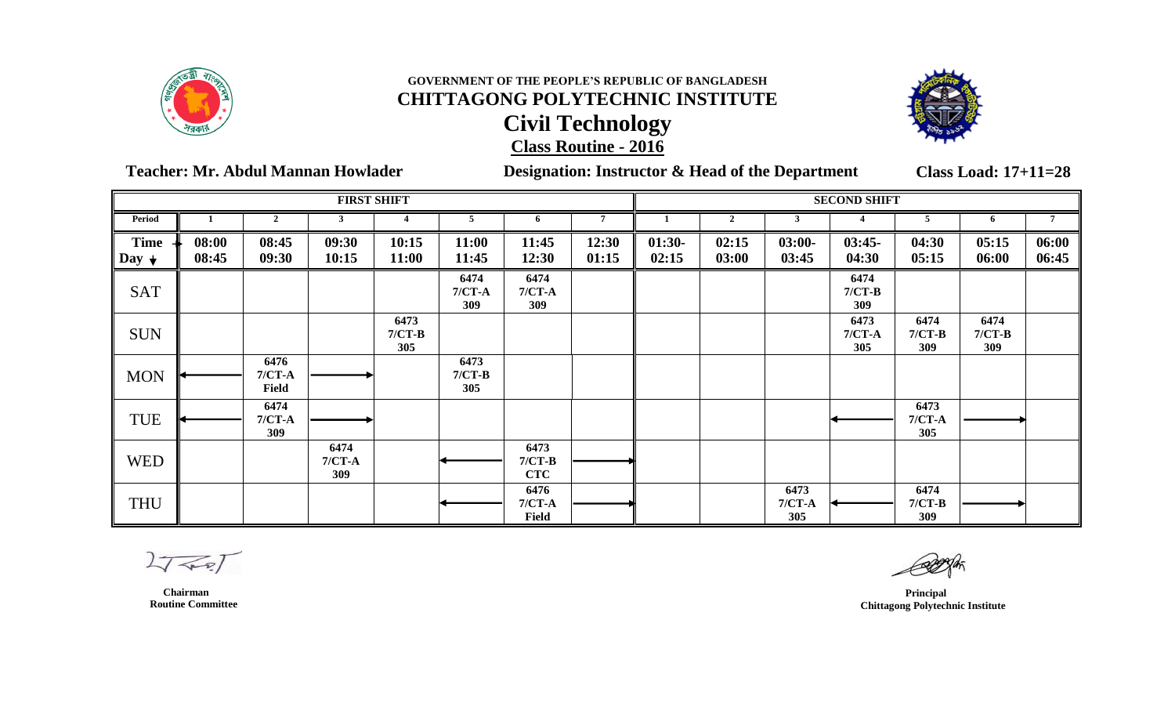



 **Teacher: Mr. Abdul Mannan Howlader Designation: Instructor & Head of the Department**

**Class Load: 17+11=28**

|                                 |                |                           | <b>FIRST SHIFT</b>      |                         |                         |                                |                |                   |                |                         | <b>SECOND SHIFT</b>     |                         |                         |                |
|---------------------------------|----------------|---------------------------|-------------------------|-------------------------|-------------------------|--------------------------------|----------------|-------------------|----------------|-------------------------|-------------------------|-------------------------|-------------------------|----------------|
| Period                          |                | $\overline{2}$            | 3                       |                         | 5                       | 6                              | $\overline{7}$ |                   | $\overline{2}$ |                         |                         | 5                       | -6                      | $\overline{7}$ |
| <b>Time</b><br>Day $\downarrow$ | 08:00<br>08:45 | 08:45<br>09:30            | 09:30<br>10:15          | 10:15<br>11:00          | 11:00<br>11:45          | 11:45<br>12:30                 | 12:30<br>01:15 | $01:30-$<br>02:15 | 02:15<br>03:00 | $03:00-$<br>03:45       | $03:45-$<br>04:30       | 04:30<br>05:15          | 05:15<br>06:00          | 06:00<br>06:45 |
| <b>SAT</b>                      |                |                           |                         |                         | 6474<br>$7/CT-A$<br>309 | 6474<br>$7/CT-A$<br>309        |                |                   |                |                         | 6474<br>$7/CT-B$<br>309 |                         |                         |                |
| <b>SUN</b>                      |                |                           |                         | 6473<br>$7/CT-B$<br>305 |                         |                                |                |                   |                |                         | 6473<br>$7/CT-A$<br>305 | 6474<br>$7/CT-B$<br>309 | 6474<br>$7/CT-B$<br>309 |                |
| <b>MON</b>                      |                | 6476<br>$7/CT-A$<br>Field |                         |                         | 6473<br>$7/CT-B$<br>305 |                                |                |                   |                |                         |                         |                         |                         |                |
| <b>TUE</b>                      |                | 6474<br>$7/CT-A$<br>309   |                         |                         |                         |                                |                |                   |                |                         |                         | 6473<br>$7/CT-A$<br>305 |                         |                |
| <b>WED</b>                      |                |                           | 6474<br>$7/CT-A$<br>309 |                         |                         | 6473<br>$7/CT-B$<br><b>CTC</b> |                |                   |                |                         |                         |                         |                         |                |
| <b>THU</b>                      |                |                           |                         |                         |                         | 6476<br>$7/CT-A$<br>Field      |                |                   |                | 6473<br>$7/CT-A$<br>305 |                         | 6474<br>$7/CT-B$<br>309 |                         |                |

 $L_{\sqrt{2}}$ 

*Principal*  **Chittagong Polytechnic Institute**

 **Chairman Routine Committee**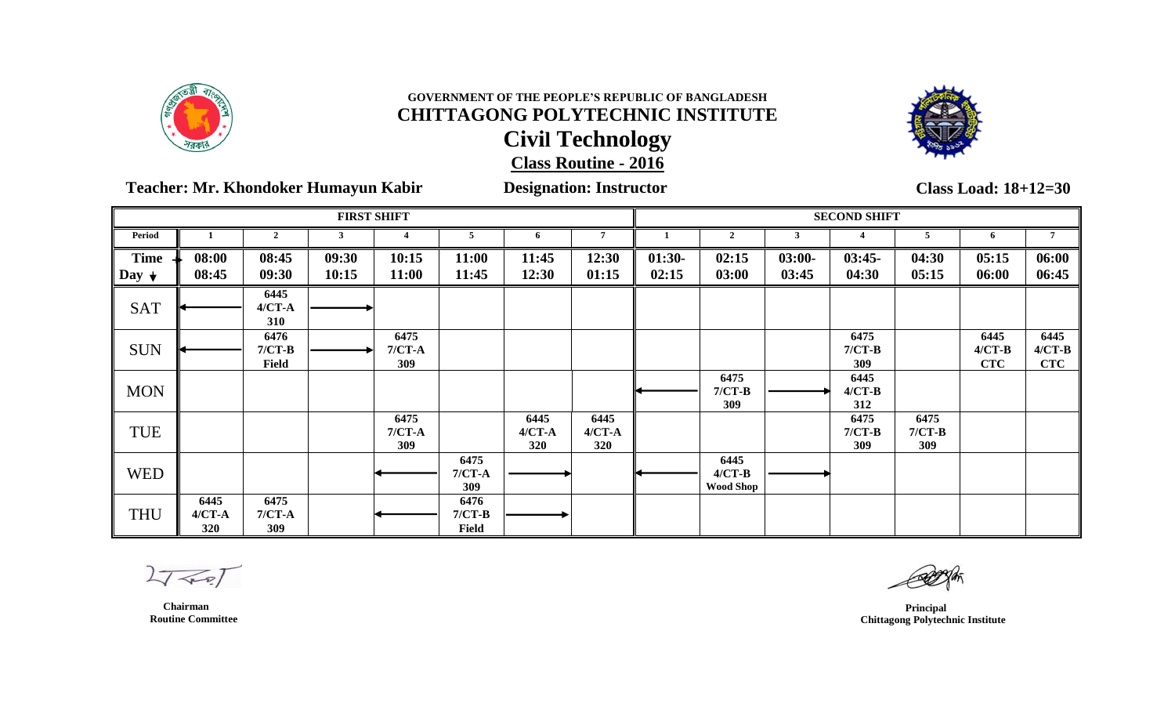



**Teacher: Mr. Khondoker Humayun Kabir Designation: Instructor**

**Class Load: 18+12=30**

|                           |                           |                           | <b>FIRST SHIFT</b> |                         |                           |                           |                           |                   |                                      |                   | <b>SECOND SHIFT</b>     |                         |                                |                                |
|---------------------------|---------------------------|---------------------------|--------------------|-------------------------|---------------------------|---------------------------|---------------------------|-------------------|--------------------------------------|-------------------|-------------------------|-------------------------|--------------------------------|--------------------------------|
| <b>Period</b>             |                           | $\overline{2}$            |                    |                         |                           | 6                         | n                         |                   | $\mathbf{2}$                         |                   |                         |                         | 6                              |                                |
| <b>Time</b><br>$\log_{1}$ | 08:00<br>08:45            | 08:45<br>09:30            | 09:30<br>10:15     | 10:15<br>11:00          | 11:00<br>11:45            | 11:45<br>12:30            | 12:30<br>01:15            | $01:30-$<br>02:15 | 02:15<br>03:00                       | $03:00-$<br>03:45 | $03:45-$<br>04:30       | 04:30<br>05:15          | 05:15<br>06:00                 | 06:00<br>06:45                 |
| <b>SAT</b>                |                           | 6445<br>$4/CT - A$<br>310 |                    |                         |                           |                           |                           |                   |                                      |                   |                         |                         |                                |                                |
| <b>SUN</b>                |                           | 6476<br>$7/CT-B$<br>Field |                    | 6475<br>$7/CT-A$<br>309 |                           |                           |                           |                   |                                      |                   | 6475<br>$7/CT-B$<br>309 |                         | 6445<br>$4/CT-B$<br><b>CTC</b> | 6445<br>$4/CT-B$<br><b>CTC</b> |
| <b>MON</b>                |                           |                           |                    |                         |                           |                           |                           |                   | 6475<br>$7/CT-B$<br>309              |                   | 6445<br>$4/CT-B$<br>312 |                         |                                |                                |
| <b>TUE</b>                |                           |                           |                    | 6475<br>$7/CT-A$<br>309 |                           | 6445<br>$4/CT - A$<br>320 | 6445<br>$4/CT - A$<br>320 |                   |                                      |                   | 6475<br>$7/CT-B$<br>309 | 6475<br>$7/CT-B$<br>309 |                                |                                |
| <b>WED</b>                |                           |                           |                    |                         | 6475<br>$7/CT-A$<br>309   |                           |                           |                   | 6445<br>$4/CT-B$<br><b>Wood Shop</b> |                   |                         |                         |                                |                                |
| <b>THU</b>                | 6445<br>$4/CT - A$<br>320 | 6475<br>$7/CT-A$<br>309   |                    |                         | 6476<br>$7/CT-B$<br>Field |                           |                           |                   |                                      |                   |                         |                         |                                |                                |

 $27 - 7$ 

 **Chairman Routine Committee**

 **Principal Chittagong Polytechnic Institute**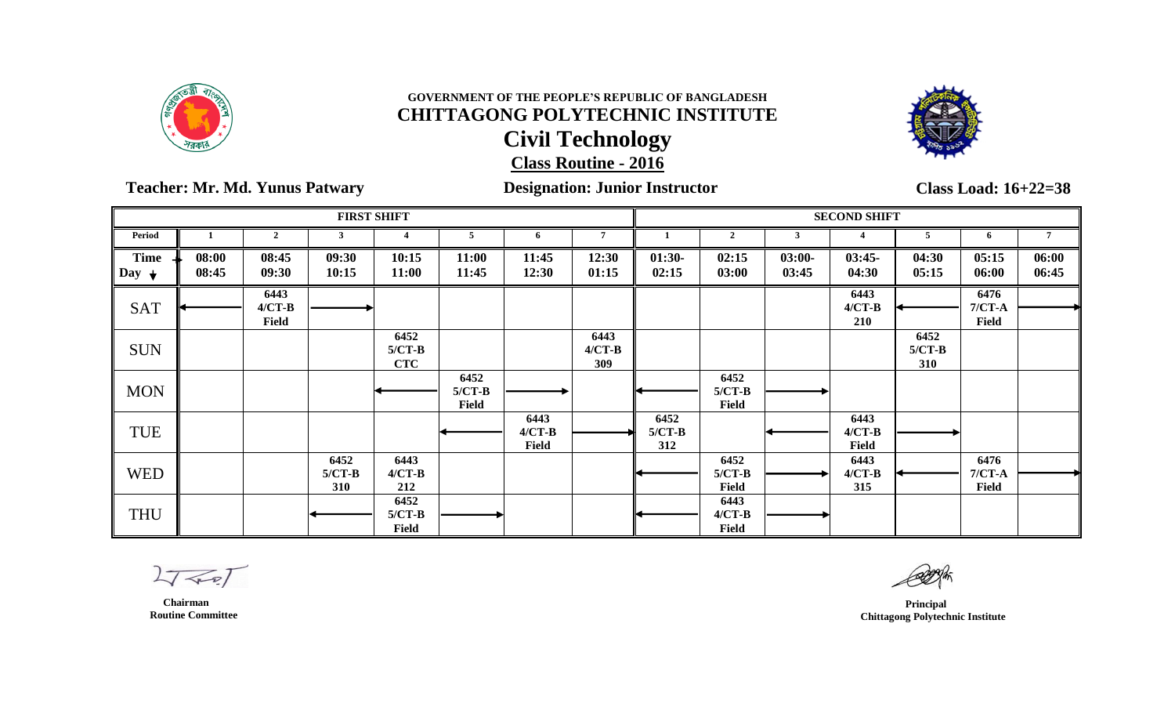



 **Teacher: Mr. Md. Yunus Patwary Designation: Junior Instructor**

**Class Load: 16+22=38**

|                                 |                |                                  |                         | <b>FIRST SHIFT</b>             |                           |                           |                         |                         |                           |                   | <b>SECOND SHIFT</b>       |                         |                           |                |
|---------------------------------|----------------|----------------------------------|-------------------------|--------------------------------|---------------------------|---------------------------|-------------------------|-------------------------|---------------------------|-------------------|---------------------------|-------------------------|---------------------------|----------------|
| Period                          |                | $\overline{2}$                   |                         |                                |                           | 6                         | 7                       |                         | $\overline{2}$            |                   |                           | 5                       | 6                         |                |
| <b>Time</b><br>Day $\downarrow$ | 08:00<br>08:45 | 08:45<br>09:30                   | 09:30<br>10:15          | 10:15<br>11:00                 | 11:00<br>11:45            | 11:45<br>12:30            | 12:30<br>01:15          | $01:30-$<br>02:15       | 02:15<br>03:00            | $03:00-$<br>03:45 | $03:45-$<br>04:30         | 04:30<br>05:15          | 05:15<br>06:00            | 06:00<br>06:45 |
| <b>SAT</b>                      |                | 6443<br>$4/CT-B$<br><b>Field</b> |                         |                                |                           |                           |                         |                         |                           |                   | 6443<br>$4/CT-B$<br>210   |                         | 6476<br>$7/CT-A$<br>Field |                |
| <b>SUN</b>                      |                |                                  |                         | 6452<br>$5/CT-B$<br><b>CTC</b> |                           |                           | 6443<br>$4/CT-B$<br>309 |                         |                           |                   |                           | 6452<br>$5/CT-B$<br>310 |                           |                |
| <b>MON</b>                      |                |                                  |                         |                                | 6452<br>$5/CT-B$<br>Field |                           |                         |                         | 6452<br>$5/CT-B$<br>Field |                   |                           |                         |                           |                |
| <b>TUE</b>                      |                |                                  |                         |                                |                           | 6443<br>$4/CT-B$<br>Field |                         | 6452<br>$5/CT-B$<br>312 |                           |                   | 6443<br>$4/CT-B$<br>Field |                         |                           |                |
| <b>WED</b>                      |                |                                  | 6452<br>$5/CT-B$<br>310 | 6443<br>$4/CT-B$<br>212        |                           |                           |                         |                         | 6452<br>$5/CT-B$<br>Field |                   | 6443<br>$4/CT-B$<br>315   |                         | 6476<br>$7/CT-A$<br>Field |                |
| <b>THU</b>                      |                |                                  |                         | 6452<br>$5/CT-B$<br>Field      |                           |                           |                         |                         | 6443<br>$4/CT-B$<br>Field |                   |                           |                         |                           |                |

 $27 - 27$ 

 **Chairman Routine Committee**

 **Principal Chittagong Polytechnic Institute**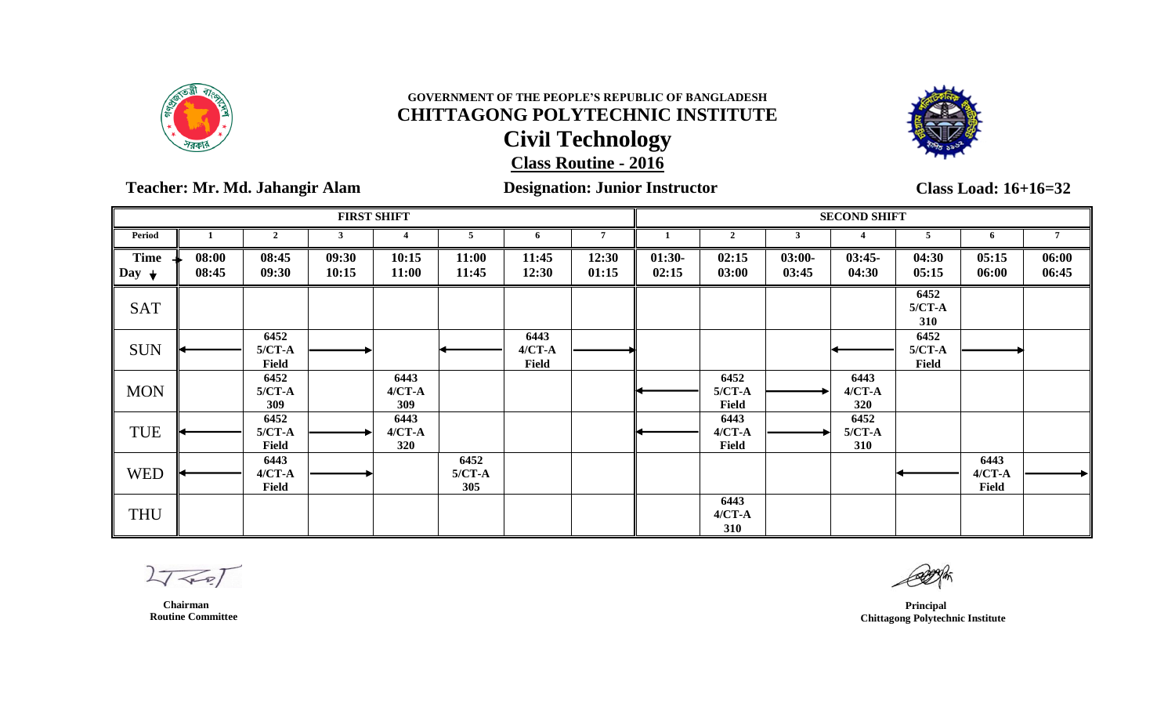



**Teacher: Mr. Md. Jahangir Alam Designation: Junior Instructor**

**Class Load: 16+16=32**

|                                        |                |                             |                | <b>FIRST SHIFT</b>        |                         |                             |                |                   |                                  |                   | <b>SECOND SHIFT</b>       |                           |                             |                |
|----------------------------------------|----------------|-----------------------------|----------------|---------------------------|-------------------------|-----------------------------|----------------|-------------------|----------------------------------|-------------------|---------------------------|---------------------------|-----------------------------|----------------|
| Period                                 |                | $\overline{2}$              |                |                           | 5                       | 6                           | 7              |                   | $\overline{2}$                   | 3                 |                           | 5.                        | 6                           |                |
| <b>Time</b><br>$\Box$ Day $\downarrow$ | 08:00<br>08:45 | 08:45<br>09:30              | 09:30<br>10:15 | 10:15<br>11:00            | 11:00<br>11:45          | 11:45<br>12:30              | 12:30<br>01:15 | $01:30-$<br>02:15 | 02:15<br>03:00                   | $03:00-$<br>03:45 | $03:45-$<br>04:30         | 04:30<br>05:15            | 05:15<br>06:00              | 06:00<br>06:45 |
| <b>SAT</b>                             |                |                             |                |                           |                         |                             |                |                   |                                  |                   |                           | 6452<br>$5/CT-A$<br>310   |                             |                |
| <b>SUN</b>                             |                | 6452<br>$5/CT-A$<br>Field   |                |                           |                         | 6443<br>$4/CT - A$<br>Field |                |                   |                                  |                   |                           | 6452<br>$5/CT-A$<br>Field |                             |                |
| <b>MON</b>                             |                | 6452<br>$5/CT-A$<br>309     |                | 6443<br>$4/CT-A$<br>309   |                         |                             |                |                   | 6452<br>$5/CT-A$<br><b>Field</b> |                   | 6443<br>$4/CT - A$<br>320 |                           |                             |                |
| TUE                                    |                | 6452<br>$5/CT-A$<br>Field   |                | 6443<br>$4/CT - A$<br>320 |                         |                             |                |                   | 6443<br>$4/CT - A$<br>Field      |                   | 6452<br>$5/CT-A$<br>310   |                           |                             |                |
| <b>WED</b>                             |                | 6443<br>$4/CT - A$<br>Field |                |                           | 6452<br>$5/CT-A$<br>305 |                             |                |                   |                                  |                   |                           |                           | 6443<br>$4/CT - A$<br>Field |                |
| <b>THU</b>                             |                |                             |                |                           |                         |                             |                |                   | 6443<br>$4/CT - A$<br>310        |                   |                           |                           |                             |                |

 $27 - 7$ 

 **Chairman Routine Committee**

 **Principal Chittagong Polytechnic Institute**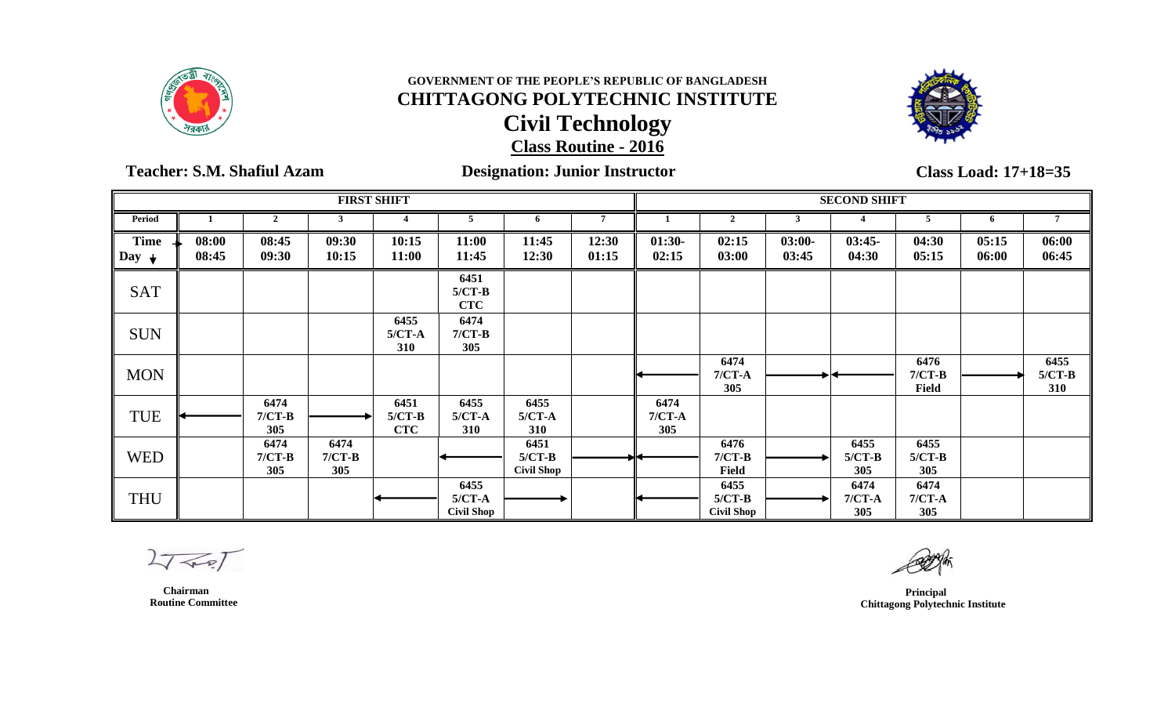



 **Teacher: S.M. Shafiul Azam Designation: Junior Instructor**

**Class Load: 17+18=35**

|                                 |                |                         |                         | <b>FIRST SHIFT</b>             |                                       |                                       |                |                         |                                       |                   | <b>SECOND SHIFT</b>     |                                  |                |                         |
|---------------------------------|----------------|-------------------------|-------------------------|--------------------------------|---------------------------------------|---------------------------------------|----------------|-------------------------|---------------------------------------|-------------------|-------------------------|----------------------------------|----------------|-------------------------|
| Period                          |                | $\mathbf{2}$            |                         |                                | 5                                     | 6                                     | $\overline{7}$ |                         | $\overline{2}$                        |                   |                         | 5                                |                |                         |
| <b>Time</b><br>Day $\downarrow$ | 08:00<br>08:45 | 08:45<br>09:30          | 09:30<br>10:15          | 10:15<br>11:00                 | 11:00<br>11:45                        | 11:45<br>12:30                        | 12:30<br>01:15 | $01:30-$<br>02:15       | 02:15<br>03:00                        | $03:00-$<br>03:45 | $03:45-$<br>04:30       | 04:30<br>05:15                   | 05:15<br>06:00 | 06:00<br>06:45          |
| <b>SAT</b>                      |                |                         |                         |                                | 6451<br>$5/CT-B$<br><b>CTC</b>        |                                       |                |                         |                                       |                   |                         |                                  |                |                         |
| <b>SUN</b>                      |                |                         |                         | 6455<br>$5/CT-A$<br>310        | 6474<br>$7/CT-B$<br>305               |                                       |                |                         |                                       |                   |                         |                                  |                |                         |
| <b>MON</b>                      |                |                         |                         |                                |                                       |                                       |                |                         | 6474<br>$7/CT-A$<br>305               |                   |                         | 6476<br>$7/CT-B$<br><b>Field</b> |                | 6455<br>$5/CT-B$<br>310 |
| <b>TUE</b>                      |                | 6474<br>$7/CT-B$<br>305 |                         | 6451<br>$5/CT-B$<br><b>CTC</b> | 6455<br>$5/CT-A$<br>310               | 6455<br>$5/CT-A$<br>310               |                | 6474<br>$7/CT-A$<br>305 |                                       |                   |                         |                                  |                |                         |
| <b>WED</b>                      |                | 6474<br>$7/CT-B$<br>305 | 6474<br>$7/CT-B$<br>305 |                                |                                       | 6451<br>$5/CT-B$<br><b>Civil Shop</b> |                |                         | 6476<br>$7/CT-B$<br>Field             |                   | 6455<br>$5/CT-B$<br>305 | 6455<br>$5/CT-B$<br>305          |                |                         |
| <b>THU</b>                      |                |                         |                         |                                | 6455<br>$5/CT-A$<br><b>Civil Shop</b> |                                       |                |                         | 6455<br>$5/CT-B$<br><b>Civil Shop</b> |                   | 6474<br>$7/CT-A$<br>305 | 6474<br>$7/CT-A$<br>305          |                |                         |

 $27 - 7$ 

 **Principal Chittagong Polytechnic Institute**

 **Chairman Routine Committee**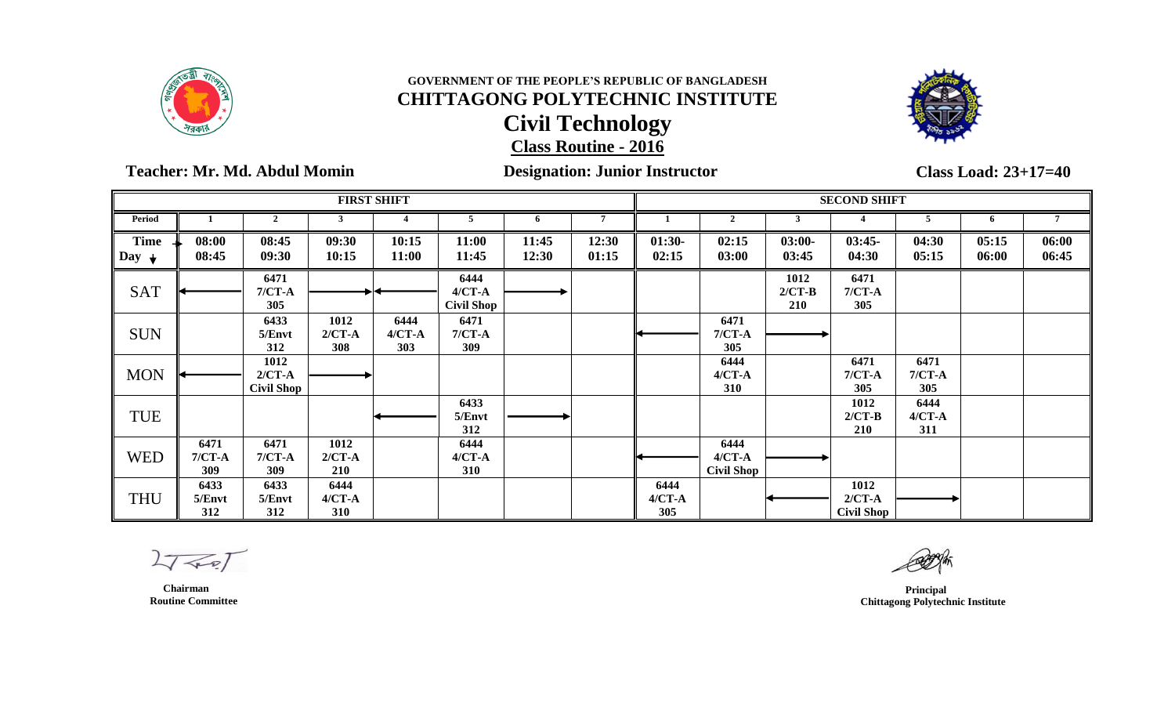



### **Teacher: Mr. Md. Abdul Momin Designation: Junior Instructor**

**Class Load: 23+17=40**

|                                   |                         |                                       |                                | <b>FIRST SHIFT</b>        |                                         |                |                |                           |                                         |                                | <b>SECOND SHIFT</b>                   |                           |                |                |
|-----------------------------------|-------------------------|---------------------------------------|--------------------------------|---------------------------|-----------------------------------------|----------------|----------------|---------------------------|-----------------------------------------|--------------------------------|---------------------------------------|---------------------------|----------------|----------------|
| <b>Period</b>                     |                         | $\overline{2}$                        |                                |                           | 5                                       | 6              | $\overline{7}$ |                           | $\overline{2}$                          | 3                              |                                       |                           | 6              |                |
| <b>Time</b><br>Day<br>$\mathbf +$ | 08:00<br>08:45          | 08:45<br>09:30                        | 09:30<br>10:15                 | 10:15<br>11:00            | 11:00<br>11:45                          | 11:45<br>12:30 | 12:30<br>01:15 | $01:30-$<br>02:15         | 02:15<br>03:00                          | $03:00-$<br>03:45              | $03:45-$<br>04:30                     | 04:30<br>05:15            | 05:15<br>06:00 | 06:00<br>06:45 |
| <b>SAT</b>                        |                         | 6471<br>$7/CT-A$<br>305               |                                |                           | 6444<br>$4/CT - A$<br><b>Civil Shop</b> |                |                |                           |                                         | 1012<br>$2/CT-B$<br><b>210</b> | 6471<br>$7/CT-A$<br>305               |                           |                |                |
| <b>SUN</b>                        |                         | 6433<br>5/Envt<br>312                 | 1012<br>$2/CT-A$<br>308        | 6444<br>$4/CT - A$<br>303 | 6471<br>$7/CT-A$<br>309                 |                |                |                           | 6471<br>$7/CT-A$<br>305                 |                                |                                       |                           |                |                |
| <b>MON</b>                        |                         | 1012<br>$2/CT-A$<br><b>Civil Shop</b> |                                |                           |                                         |                |                |                           | 6444<br>$4/CT - A$<br>310               |                                | 6471<br>$7/CT-A$<br>305               | 6471<br>$7/CT-A$<br>305   |                |                |
| <b>TUE</b>                        |                         |                                       |                                |                           | 6433<br>5/Envt<br>312                   |                |                |                           |                                         |                                | 1012<br>$2/CT-B$<br>210               | 6444<br>$4/CT - A$<br>311 |                |                |
| <b>WED</b>                        | 6471<br>$7/CT-A$<br>309 | 6471<br>$7/CT-A$<br>309               | 1012<br>$2/CT-A$<br><b>210</b> |                           | 6444<br>$4/CT - A$<br>310               |                |                |                           | 6444<br>$4/CT - A$<br><b>Civil Shop</b> |                                |                                       |                           |                |                |
| <b>THU</b>                        | 6433<br>5/Envt<br>312   | 6433<br>5/Envt<br>312                 | 6444<br>$4/CT - A$<br>310      |                           |                                         |                |                | 6444<br>$4/CT - A$<br>305 |                                         |                                | 1012<br>$2/CT-A$<br><b>Civil Shop</b> |                           |                |                |

 $27 - 27$ 

 **Chairman Routine Committee**

*Principal*  **Chittagong Polytechnic Institute**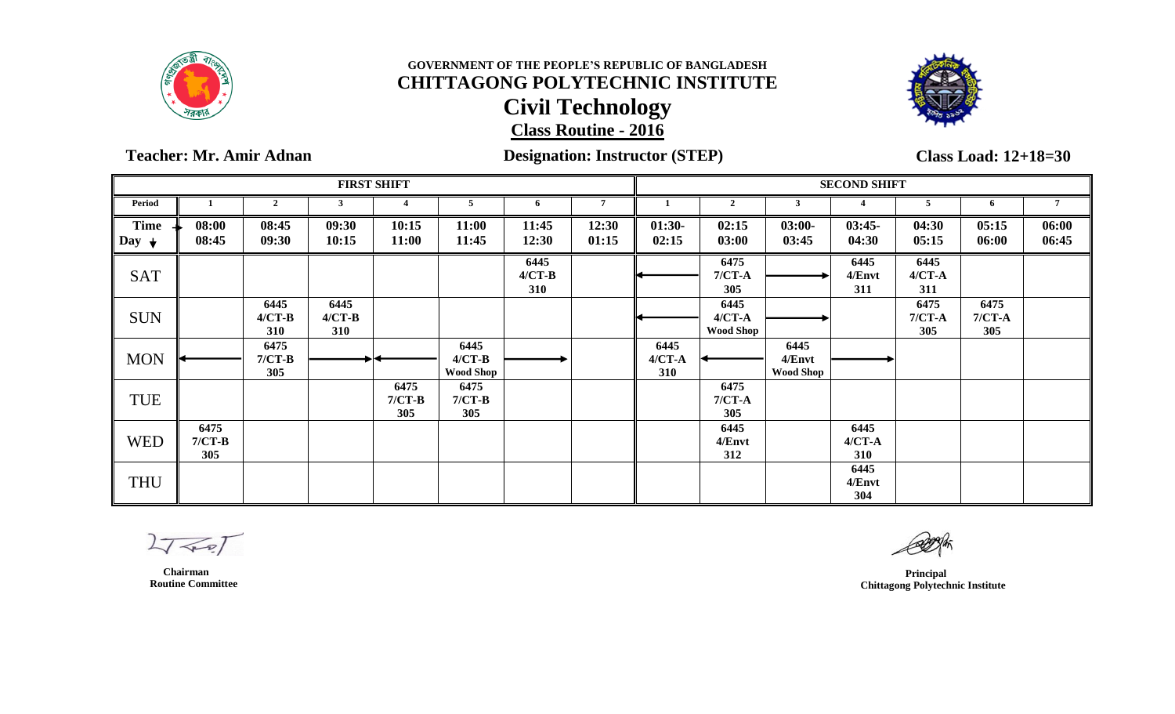



### **Teacher: Mr. Amir Adnan Designation: Instructor (STEP)**

**Class Load: 12+18=30**

|                          |                         |                                |                         | <b>FIRST SHIFT</b>      |                                      |                         |                |                           |                                        |                                    | <b>SECOND SHIFT</b>       |                           |                         |                |
|--------------------------|-------------------------|--------------------------------|-------------------------|-------------------------|--------------------------------------|-------------------------|----------------|---------------------------|----------------------------------------|------------------------------------|---------------------------|---------------------------|-------------------------|----------------|
| Period                   |                         | $\overline{2}$                 | 3                       | 4                       | 5                                    | 6                       | $\overline{7}$ |                           | $\overline{2}$                         | 3                                  |                           |                           | 6                       |                |
| Time<br>Day $\downarrow$ | 08:00<br>08:45          | 08:45<br>09:30                 | 09:30<br>10:15          | 10:15<br>11:00          | 11:00<br>11:45                       | 11:45<br>12:30          | 12:30<br>01:15 | $01:30-$<br>02:15         | 02:15<br>03:00                         | $03:00-$<br>03:45                  | $03:45-$<br>04:30         | 04:30<br>05:15            | 05:15<br>06:00          | 06:00<br>06:45 |
| <b>SAT</b>               |                         |                                |                         |                         |                                      | 6445<br>$4/CT-B$<br>310 |                |                           | 6475<br>$7/CT-A$<br>305                |                                    | 6445<br>4/Envt<br>311     | 6445<br>$4/CT - A$<br>311 |                         |                |
| <b>SUN</b>               |                         | 6445<br>$4/CT-B$<br><b>310</b> | 6445<br>$4/CT-B$<br>310 |                         |                                      |                         |                |                           | 6445<br>$4/CT - A$<br><b>Wood Shop</b> |                                    |                           | 6475<br>$7/CT-A$<br>305   | 6475<br>$7/CT-A$<br>305 |                |
| <b>MON</b>               |                         | 6475<br>$7/CT-B$<br>305        |                         |                         | 6445<br>$4/CT-B$<br><b>Wood Shop</b> |                         |                | 6445<br>$4/CT - A$<br>310 |                                        | 6445<br>4/Envt<br><b>Wood Shop</b> |                           |                           |                         |                |
| <b>TUE</b>               |                         |                                |                         | 6475<br>$7/CT-B$<br>305 | 6475<br>$7/CT-B$<br>305              |                         |                |                           | 6475<br>$7/CT-A$<br>305                |                                    |                           |                           |                         |                |
| <b>WED</b>               | 6475<br>$7/CT-B$<br>305 |                                |                         |                         |                                      |                         |                |                           | 6445<br>4/Envt<br>312                  |                                    | 6445<br>$4/CT - A$<br>310 |                           |                         |                |
| <b>THU</b>               |                         |                                |                         |                         |                                      |                         |                |                           |                                        |                                    | 6445<br>4/Envt<br>304     |                           |                         |                |

 $27 - 7$ 

 **Chairman Routine Committee**

 **Principal Chittagong Polytechnic Institute**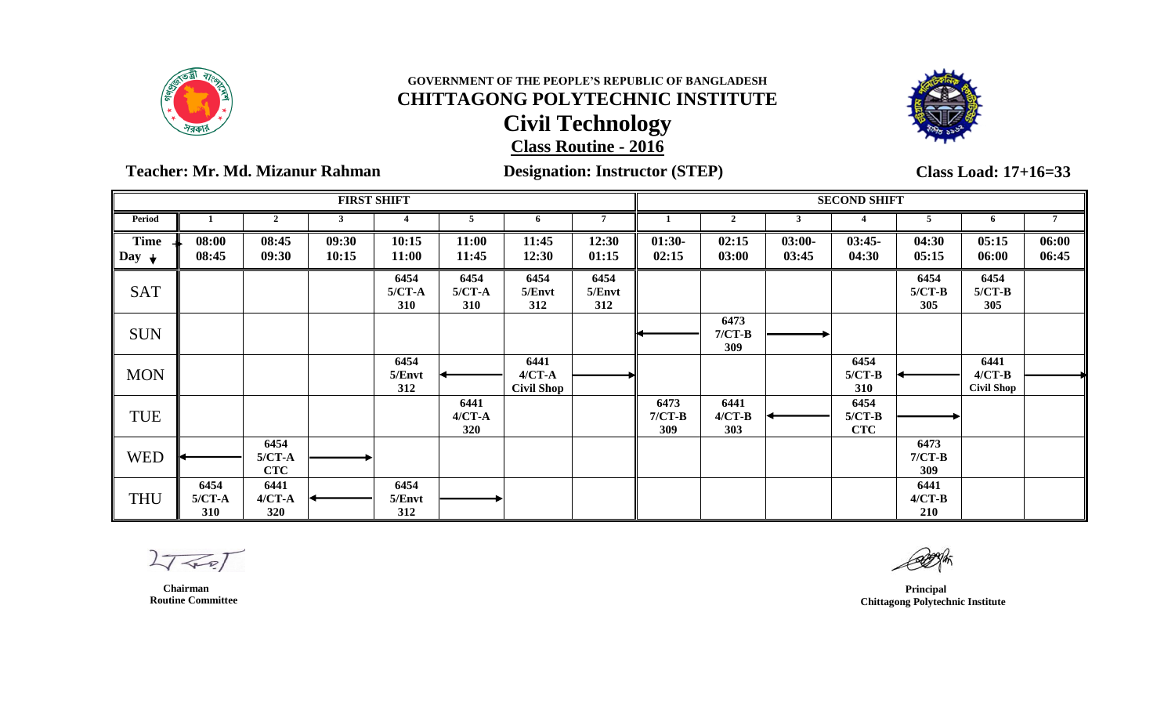



 **Teacher: Mr. Md. Mizanur Rahman Designation: Instructor (STEP)**

**FIRST SHIFT SECOND SHIFT Period 1 2 3 4 5 6 7 1 2 3 4 5 6 7 11:00 11:45 11:45 12:30 12:30 01:15 01:30- 02:15 02:15 03:00 03:00- 03:45 03:45- 04:30 04:30 05:15 05:15 06:00 06:00 06:45 6454 5/CT-A 310 6454 5/Envt 312 6454 5/Envt 312 6454 5/CT-B 305 6454 5/CT-B 305 6473 7/CT-B**

| <b>Time</b><br>Day $\rightarrow$ | 08:00<br>08:45          | 08:45<br>09:30                 | 09:30<br>10:15 | 10:15<br>11:00          | 11:00<br>11:45            | 11:45<br>12:30                          | 12:30<br>01:15        | $01:30-$<br>02:15       | 02:15<br>03:00          | $03:00-$<br>03:45 | $03:45-$<br>04:30              | 04:30<br>05:15                 | 05:15<br>06:00                        | 06:00<br>06:45 |
|----------------------------------|-------------------------|--------------------------------|----------------|-------------------------|---------------------------|-----------------------------------------|-----------------------|-------------------------|-------------------------|-------------------|--------------------------------|--------------------------------|---------------------------------------|----------------|
| <b>SAT</b>                       |                         |                                |                | 6454<br>$5/CT-A$<br>310 | 6454<br>$5/CT-A$<br>310   | 6454<br>5/Envt<br>312                   | 6454<br>5/Envt<br>312 |                         |                         |                   |                                | 6454<br>$5/CT-B$<br>305        | 6454<br>$5/CT-B$<br>305               |                |
| <b>SUN</b>                       |                         |                                |                |                         |                           |                                         |                       |                         | 6473<br>$7/CT-B$<br>309 |                   |                                |                                |                                       |                |
| <b>MON</b>                       |                         |                                |                | 6454<br>5/Envt<br>312   |                           | 6441<br>$4/CT - A$<br><b>Civil Shop</b> |                       |                         |                         |                   | 6454<br>$5/CT-B$<br>310        |                                | 6441<br>$4/CT-B$<br><b>Civil Shop</b> |                |
| TUE                              |                         |                                |                |                         | 6441<br>$4/CT - A$<br>320 |                                         |                       | 6473<br>$7/CT-B$<br>309 | 6441<br>$4/CT-B$<br>303 |                   | 6454<br>$5/CT-B$<br><b>CTC</b> |                                |                                       |                |
| <b>WED</b>                       |                         | 6454<br>$5/CT-A$<br><b>CTC</b> |                |                         |                           |                                         |                       |                         |                         |                   |                                | 6473<br>$7/CT-B$<br><b>309</b> |                                       |                |
| <b>THU</b>                       | 6454<br>$5/CT-A$<br>310 | 6441<br>$4/CT - A$<br>320      |                | 6454<br>5/Envt<br>312   |                           |                                         |                       |                         |                         |                   |                                | 6441<br>$4/CT-B$<br>210        |                                       |                |

 $27 - 27$ 

 **Chairman Routine Committee**

 **Principal Chittagong Polytechnic Institute**

**Class Load: 17+16=33**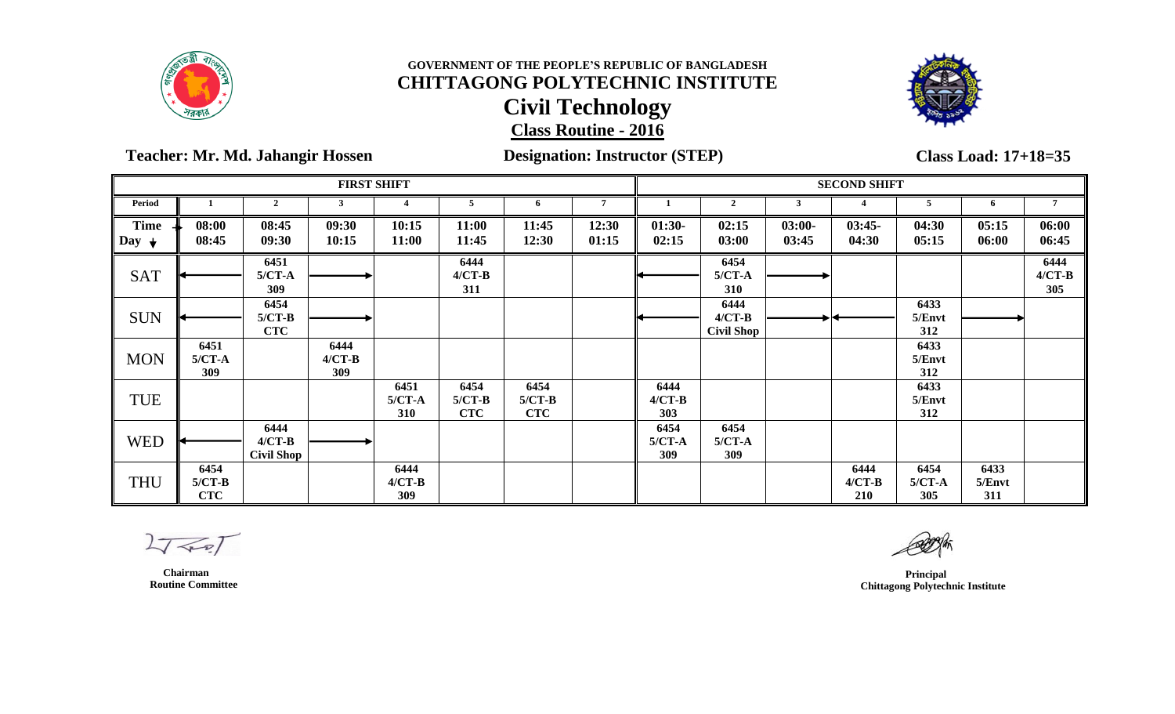



 **Teacher: Mr. Md. Jahangir Hossen Designation: Instructor (STEP)**

**Class Load: 17+18=35**

|                                 |                                |                                       | <b>FIRST SHIFT</b>      |                         |                                |                                |                |                         |                                       |                   | <b>SECOND SHIFT</b>     |                         |                       |                         |
|---------------------------------|--------------------------------|---------------------------------------|-------------------------|-------------------------|--------------------------------|--------------------------------|----------------|-------------------------|---------------------------------------|-------------------|-------------------------|-------------------------|-----------------------|-------------------------|
| Period                          |                                | $\overline{2}$                        |                         |                         | 5                              | 6                              |                |                         | $\overline{2}$                        | 3                 |                         |                         | 6                     |                         |
| <b>Time</b><br>Day $\downarrow$ | 08:00<br>08:45                 | 08:45<br>09:30                        | 09:30<br>10:15          | 10:15<br>11:00          | 11:00<br>11:45                 | 11:45<br>12:30                 | 12:30<br>01:15 | $01:30-$<br>02:15       | 02:15<br>03:00                        | $03:00-$<br>03:45 | $03:45-$<br>04:30       | 04:30<br>05:15          | 05:15<br>06:00        | 06:00<br>06:45          |
| <b>SAT</b>                      |                                | 6451<br>$5/CT-A$<br>309               |                         |                         | 6444<br>$4/CT-B$<br>311        |                                |                |                         | 6454<br>$5/CT-A$<br>310               |                   |                         |                         |                       | 6444<br>$4/CT-B$<br>305 |
| <b>SUN</b>                      |                                | 6454<br>$5/CT-B$<br><b>CTC</b>        |                         |                         |                                |                                |                |                         | 6444<br>$4/CT-B$<br><b>Civil Shop</b> |                   |                         | 6433<br>5/Envt<br>312   |                       |                         |
| <b>MON</b>                      | 6451<br>$5/CT-A$<br>309        |                                       | 6444<br>$4/CT-B$<br>309 |                         |                                |                                |                |                         |                                       |                   |                         | 6433<br>5/Envt<br>312   |                       |                         |
| <b>TUE</b>                      |                                |                                       |                         | 6451<br>$5/CT-A$<br>310 | 6454<br>$5/CT-B$<br><b>CTC</b> | 6454<br>$5/CT-B$<br><b>CTC</b> |                | 6444<br>$4/CT-B$<br>303 |                                       |                   |                         | 6433<br>5/Envt<br>312   |                       |                         |
| <b>WED</b>                      |                                | 6444<br>$4/CT-B$<br><b>Civil Shop</b> |                         |                         |                                |                                |                | 6454<br>$5/CT-A$<br>309 | 6454<br>$5/CT-A$<br>309               |                   |                         |                         |                       |                         |
| <b>THU</b>                      | 6454<br>$5/CT-B$<br><b>CTC</b> |                                       |                         | 6444<br>$4/CT-B$<br>309 |                                |                                |                |                         |                                       |                   | 6444<br>$4/CT-B$<br>210 | 6454<br>$5/CT-A$<br>305 | 6433<br>5/Envt<br>311 |                         |

 $\leqslant$ 

 **Chairman Routine Committee**

 **Principal Chittagong Polytechnic Institute**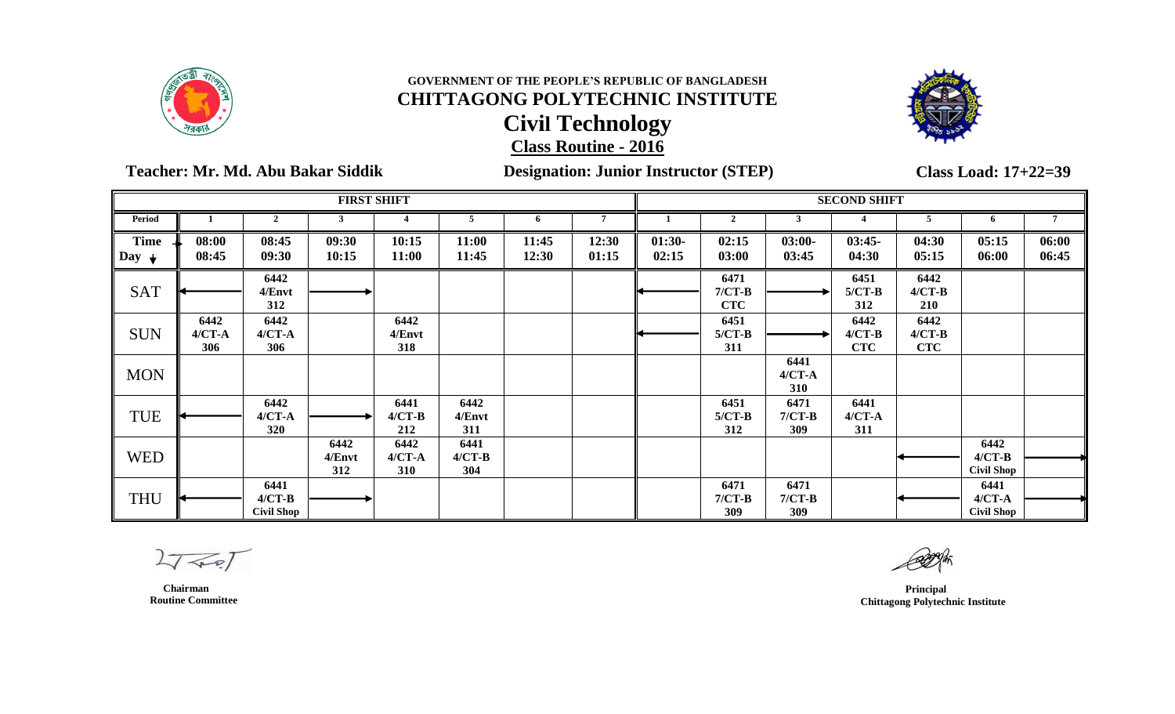



 **Teacher: Mr. Md. Abu Bakar Siddik Designation: Junior Instructor (STEP)**

**Class Load: 17+22=39**

|                                 |                           |                                       | <b>FIRST SHIFT</b>    |                         |                         |                |                |                   |                                |                           | <b>SECOND SHIFT</b>            |                                |                                         |                |
|---------------------------------|---------------------------|---------------------------------------|-----------------------|-------------------------|-------------------------|----------------|----------------|-------------------|--------------------------------|---------------------------|--------------------------------|--------------------------------|-----------------------------------------|----------------|
| Period                          |                           | $\overline{2}$                        |                       |                         | 5                       | -6             | 7              |                   | $\overline{2}$                 | 3                         |                                | 5                              | 6                                       | $\overline{7}$ |
| <b>Time</b><br>Day $\downarrow$ | 08:00<br>08:45            | 08:45<br>09:30                        | 09:30<br>10:15        | 10:15<br>11:00          | 11:00<br>11:45          | 11:45<br>12:30 | 12:30<br>01:15 | $01:30-$<br>02:15 | 02:15<br>03:00                 | $03:00-$<br>03:45         | $03:45-$<br>04:30              | 04:30<br>05:15                 | 05:15<br>06:00                          | 06:00<br>06:45 |
| <b>SAT</b>                      |                           | 6442<br>4/Envt<br>312                 |                       |                         |                         |                |                |                   | 6471<br>$7/CT-B$<br><b>CTC</b> |                           | 6451<br>$5/CT-B$<br>312        | 6442<br>$4/CT-B$<br>210        |                                         |                |
| <b>SUN</b>                      | 6442<br>$4/CT - A$<br>306 | 6442<br>$4/CT - A$<br>306             |                       | 6442<br>4/Envt<br>318   |                         |                |                |                   | 6451<br>$5/CT-B$<br>311        |                           | 6442<br>$4/CT-B$<br><b>CTC</b> | 6442<br>$4/CT-B$<br><b>CTC</b> |                                         |                |
| <b>MON</b>                      |                           |                                       |                       |                         |                         |                |                |                   |                                | 6441<br>$4/CT - A$<br>310 |                                |                                |                                         |                |
| <b>TUE</b>                      |                           | 6442<br>$4/CT - A$<br>320             |                       | 6441<br>$4/CT-B$<br>212 | 6442<br>4/Envt<br>311   |                |                |                   | 6451<br>$5/CT-B$<br>312        | 6471<br>$7/CT-B$<br>309   | 6441<br>$4/CT - A$<br>311      |                                |                                         |                |
| <b>WED</b>                      |                           |                                       | 6442<br>4/Envt<br>312 | 6442<br>$4/CT-A$<br>310 | 6441<br>$4/CT-B$<br>304 |                |                |                   |                                |                           |                                |                                | 6442<br>$4/CT-B$<br><b>Civil Shop</b>   |                |
| <b>THU</b>                      |                           | 6441<br>$4/CT-B$<br><b>Civil Shop</b> |                       |                         |                         |                |                |                   | 6471<br>$7/CT-B$<br>309        | 6471<br>$7/CT-B$<br>309   |                                |                                | 6441<br>$4/CT - A$<br><b>Civil Shop</b> |                |

 $27 - 7$ 

 **Chairman Routine Committee**

 **Principal Chittagong Polytechnic Institute**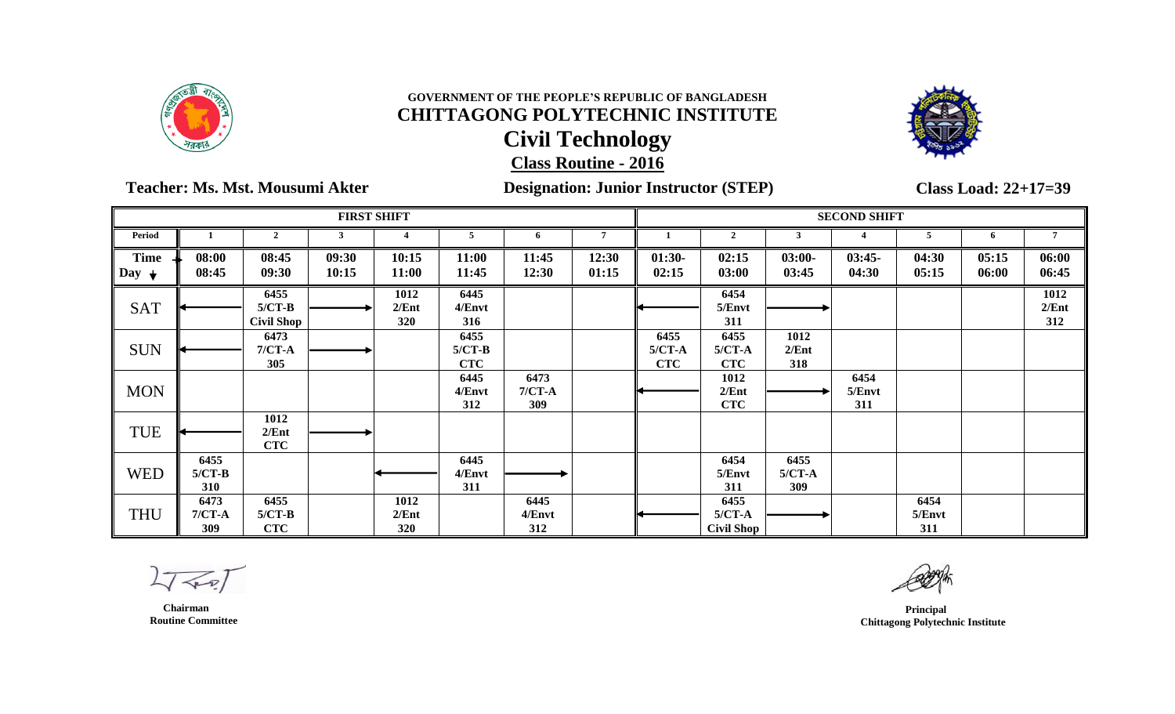



### **Teacher: Ms. Mst. Mousumi Akter Designation: Junior Instructor (STEP)**

**Class Load: 22+17=39**

|                                 |                         |                                       |                | <b>FIRST SHIFT</b>   |                                |                          |                |                                |                                       |                         | <b>SECOND SHIFT</b>   |                       |                |                      |
|---------------------------------|-------------------------|---------------------------------------|----------------|----------------------|--------------------------------|--------------------------|----------------|--------------------------------|---------------------------------------|-------------------------|-----------------------|-----------------------|----------------|----------------------|
| <b>Period</b>                   |                         | $\mathcal{D}$                         |                |                      |                                |                          |                |                                |                                       |                         |                       |                       | 6              |                      |
| <b>Time</b><br>Day $\downarrow$ | 08:00<br>08:45          | 08:45<br>09:30                        | 09:30<br>10:15 | 10:15<br>11:00       | 11:00<br>11:45                 | 11:45<br>12:30           | 12:30<br>01:15 | $01:30-$<br>02:15              | 02:15<br>03:00                        | $03:00-$<br>03:45       | $03:45-$<br>04:30     | 04:30<br>05:15        | 05:15<br>06:00 | 06:00<br>06:45       |
| <b>SAT</b>                      |                         | 6455<br>$5/CT-B$<br><b>Civil Shop</b> |                | 1012<br>2/Ent<br>320 | 6445<br>4/Envt<br>316          |                          |                |                                | 6454<br>5/Envt<br>311                 |                         |                       |                       |                | 1012<br>2/Ent<br>312 |
| <b>SUN</b>                      |                         | 6473<br>$7/CT-A$<br>305               |                |                      | 6455<br>$5/CT-B$<br><b>CTC</b> |                          |                | 6455<br>$5/CT-A$<br><b>CTC</b> | 6455<br>$5/CT-A$<br><b>CTC</b>        | 1012<br>2/Ent<br>318    |                       |                       |                |                      |
| <b>MON</b>                      |                         |                                       |                |                      | 6445<br>4/Envt<br>312          | 6473<br>$7/CT-A$<br>309  |                |                                | 1012<br>2/Ent<br><b>CTC</b>           |                         | 6454<br>5/Envt<br>311 |                       |                |                      |
| TUE                             |                         | 1012<br>2/Ent<br><b>CTC</b>           |                |                      |                                |                          |                |                                |                                       |                         |                       |                       |                |                      |
| <b>WED</b>                      | 6455<br>$5/CT-B$<br>310 |                                       |                |                      | 6445<br>4/Envt<br>311          |                          |                |                                | 6454<br>5/Envt<br>311                 | 6455<br>$5/CT-A$<br>309 |                       |                       |                |                      |
| <b>THU</b>                      | 6473<br>$7/CT-A$<br>309 | 6455<br>$5/CT-B$<br><b>CTC</b>        |                | 1012<br>2/Ent<br>320 |                                | 6445<br>$4/E$ nvt<br>312 |                |                                | 6455<br>$5/CT-A$<br><b>Civil Shop</b> |                         |                       | 6454<br>5/Envt<br>311 |                |                      |

 $L\sqrt{2}$ 

 **Chairman Routine Committee**

 **Principal Chittagong Polytechnic Institute**